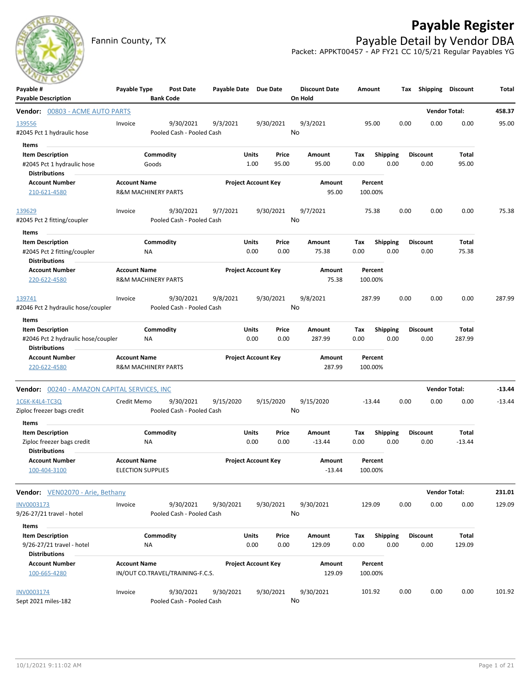

## **Payable Register**

Fannin County, TX **Payable Detail by Vendor DBA** Packet: APPKT00457 - AP FY21 CC 10/5/21 Regular Payables YG

| Payable #                                                  | Payable Type                                    |                  | <b>Post Date</b>                       | Payable Date Due Date |                            |           | <b>Discount Date</b> | Amount             |                 | Tax  | Shipping             | <b>Discount</b>      | Total    |
|------------------------------------------------------------|-------------------------------------------------|------------------|----------------------------------------|-----------------------|----------------------------|-----------|----------------------|--------------------|-----------------|------|----------------------|----------------------|----------|
| <b>Payable Description</b>                                 |                                                 | <b>Bank Code</b> |                                        |                       |                            |           | On Hold              |                    |                 |      |                      |                      |          |
| Vendor: 00803 - ACME AUTO PARTS                            |                                                 |                  |                                        |                       |                            |           |                      |                    |                 |      | <b>Vendor Total:</b> |                      | 458.37   |
| 139556<br>#2045 Pct 1 hydraulic hose                       | Invoice                                         |                  | 9/30/2021<br>Pooled Cash - Pooled Cash | 9/3/2021              |                            | 9/30/2021 | 9/3/2021<br>No       | 95.00              |                 | 0.00 | 0.00                 | 0.00                 | 95.00    |
|                                                            |                                                 |                  |                                        |                       |                            |           |                      |                    |                 |      |                      |                      |          |
| Items<br><b>Item Description</b>                           |                                                 | Commodity        |                                        |                       | Units                      | Price     | Amount               | Tax                | <b>Shipping</b> |      | <b>Discount</b>      | Total                |          |
| #2045 Pct 1 hydraulic hose                                 |                                                 | Goods            |                                        |                       | 1.00                       | 95.00     | 95.00                | 0.00               | 0.00            |      | 0.00                 | 95.00                |          |
| <b>Distributions</b>                                       |                                                 |                  |                                        |                       |                            |           |                      |                    |                 |      |                      |                      |          |
| <b>Account Number</b>                                      | <b>Account Name</b>                             |                  |                                        |                       | <b>Project Account Key</b> |           | Amount               | Percent            |                 |      |                      |                      |          |
| 210-621-4580                                               | <b>R&amp;M MACHINERY PARTS</b>                  |                  |                                        |                       |                            |           | 95.00                | 100.00%            |                 |      |                      |                      |          |
| 139629                                                     | Invoice                                         |                  | 9/30/2021                              | 9/7/2021              |                            | 9/30/2021 | 9/7/2021             | 75.38              |                 | 0.00 | 0.00                 | 0.00                 | 75.38    |
| #2045 Pct 2 fitting/coupler                                |                                                 |                  | Pooled Cash - Pooled Cash              |                       |                            |           | No                   |                    |                 |      |                      |                      |          |
| Items                                                      |                                                 |                  |                                        |                       |                            |           |                      |                    |                 |      |                      |                      |          |
| <b>Item Description</b>                                    |                                                 | Commodity        |                                        |                       | Units                      | Price     | Amount               | Tax                | <b>Shipping</b> |      | <b>Discount</b>      | Total                |          |
| #2045 Pct 2 fitting/coupler<br><b>Distributions</b>        |                                                 | ΝA               |                                        |                       | 0.00                       | 0.00      | 75.38                | 0.00               | 0.00            |      | 0.00                 | 75.38                |          |
| <b>Account Number</b>                                      | <b>Account Name</b>                             |                  |                                        |                       | <b>Project Account Key</b> |           | Amount               | Percent            |                 |      |                      |                      |          |
| 220-622-4580                                               | <b>R&amp;M MACHINERY PARTS</b>                  |                  |                                        |                       |                            |           | 75.38                | 100.00%            |                 |      |                      |                      |          |
| 139741                                                     | Invoice                                         |                  | 9/30/2021                              | 9/8/2021              |                            | 9/30/2021 | 9/8/2021             | 287.99             |                 | 0.00 | 0.00                 | 0.00                 | 287.99   |
| #2046 Pct 2 hydraulic hose/coupler                         |                                                 |                  | Pooled Cash - Pooled Cash              |                       |                            |           | No                   |                    |                 |      |                      |                      |          |
| Items                                                      |                                                 |                  |                                        |                       |                            |           |                      |                    |                 |      |                      |                      |          |
| <b>Item Description</b>                                    |                                                 | Commodity        |                                        |                       | Units                      | Price     | <b>Amount</b>        | Tax                | <b>Shipping</b> |      | <b>Discount</b>      | <b>Total</b>         |          |
| #2046 Pct 2 hydraulic hose/coupler<br><b>Distributions</b> |                                                 | ΝA               |                                        |                       | 0.00                       | 0.00      | 287.99               | 0.00               | 0.00            |      | 0.00                 | 287.99               |          |
| <b>Account Number</b>                                      | <b>Account Name</b>                             |                  |                                        |                       | <b>Project Account Key</b> |           | Amount               | Percent            |                 |      |                      |                      |          |
| 220-622-4580                                               | <b>R&amp;M MACHINERY PARTS</b>                  |                  |                                        |                       |                            |           | 287.99               | 100.00%            |                 |      |                      |                      |          |
| Vendor: 00240 - AMAZON CAPITAL SERVICES, INC               |                                                 |                  |                                        |                       |                            |           |                      |                    |                 |      |                      | <b>Vendor Total:</b> | $-13.44$ |
| 1C6K-K4L4-TC3Q                                             | Credit Memo                                     |                  | 9/30/2021                              | 9/15/2020             |                            | 9/15/2020 | 9/15/2020            | $-13.44$           |                 | 0.00 | 0.00                 | 0.00                 | $-13.44$ |
| Ziploc freezer bags credit                                 |                                                 |                  | Pooled Cash - Pooled Cash              |                       |                            |           | No                   |                    |                 |      |                      |                      |          |
| Items                                                      |                                                 |                  |                                        |                       |                            |           |                      |                    |                 |      |                      |                      |          |
| <b>Item Description</b>                                    |                                                 | Commodity        |                                        |                       | Units                      | Price     | Amount               | Tax                | <b>Shipping</b> |      | <b>Discount</b>      | Total                |          |
| Ziploc freezer bags credit                                 |                                                 | ΝA               |                                        |                       | 0.00                       | 0.00      | $-13.44$             | 0.00               | 0.00            |      | 0.00                 | $-13.44$             |          |
| <b>Distributions</b>                                       |                                                 |                  |                                        |                       | <b>Project Account Key</b> |           |                      |                    |                 |      |                      |                      |          |
| <b>Account Number</b><br>100-404-3100                      | <b>Account Name</b><br><b>ELECTION SUPPLIES</b> |                  |                                        |                       |                            |           | Amount<br>$-13.44$   | Percent<br>100.00% |                 |      |                      |                      |          |
| <b>Vendor:</b> VEN02070 - Arie, Bethany                    |                                                 |                  |                                        |                       |                            |           |                      |                    |                 |      |                      | <b>Vendor Total:</b> | 231.01   |
|                                                            |                                                 |                  |                                        |                       |                            |           |                      | 129.09             |                 | 0.00 | 0.00                 | 0.00                 | 129.09   |
| INV0003173<br>9/26-27/21 travel - hotel                    | Invoice                                         |                  | 9/30/2021<br>Pooled Cash - Pooled Cash | 9/30/2021             |                            | 9/30/2021 | 9/30/2021<br>No      |                    |                 |      |                      |                      |          |
| Items                                                      |                                                 |                  |                                        |                       |                            |           |                      |                    |                 |      |                      |                      |          |
| <b>Item Description</b>                                    |                                                 | Commodity        |                                        |                       | Units                      | Price     | Amount               | Tax                | Shipping        |      | <b>Discount</b>      | <b>Total</b>         |          |
| 9/26-27/21 travel - hotel                                  |                                                 | <b>NA</b>        |                                        |                       | 0.00                       | 0.00      | 129.09               | 0.00               | 0.00            |      | 0.00                 | 129.09               |          |
| <b>Distributions</b>                                       |                                                 |                  |                                        |                       |                            |           |                      |                    |                 |      |                      |                      |          |
| <b>Account Number</b>                                      | <b>Account Name</b>                             |                  |                                        |                       | <b>Project Account Key</b> |           | Amount               | Percent            |                 |      |                      |                      |          |
| 100-665-4280                                               |                                                 |                  | IN/OUT CO.TRAVEL/TRAINING-F.C.S.       |                       |                            |           | 129.09               | 100.00%            |                 |      |                      |                      |          |
| INV0003174                                                 | Invoice                                         |                  | 9/30/2021                              | 9/30/2021             |                            | 9/30/2021 | 9/30/2021            | 101.92             |                 | 0.00 | 0.00                 | 0.00                 | 101.92   |
| Sept 2021 miles-182                                        |                                                 |                  | Pooled Cash - Pooled Cash              |                       |                            |           | No                   |                    |                 |      |                      |                      |          |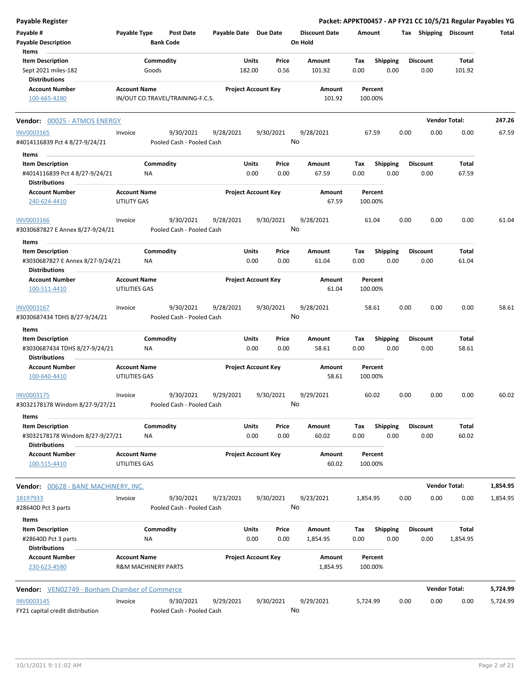| <b>Payable Register</b>                                    |                                                       |                    |                                        |                       |                            |               |                                 |                    |                         |      |                         | Packet: APPKT00457 - AP FY21 CC 10/5/21 Regular Payables YG |          |
|------------------------------------------------------------|-------------------------------------------------------|--------------------|----------------------------------------|-----------------------|----------------------------|---------------|---------------------------------|--------------------|-------------------------|------|-------------------------|-------------------------------------------------------------|----------|
| Payable #<br><b>Payable Description</b>                    | Payable Type                                          | <b>Bank Code</b>   | <b>Post Date</b>                       | Payable Date Due Date |                            |               | <b>Discount Date</b><br>On Hold | Amount             |                         |      | Tax Shipping Discount   |                                                             | Total    |
| Items                                                      |                                                       |                    |                                        |                       |                            |               |                                 |                    |                         |      |                         |                                                             |          |
| <b>Item Description</b><br>Sept 2021 miles-182             |                                                       | Commodity<br>Goods |                                        |                       | Units<br>182.00            | Price<br>0.56 | <b>Amount</b><br>101.92         | Tax<br>0.00        | <b>Shipping</b><br>0.00 |      | <b>Discount</b><br>0.00 | Total<br>101.92                                             |          |
| Distributions                                              |                                                       |                    |                                        |                       |                            |               |                                 |                    |                         |      |                         |                                                             |          |
| <b>Account Number</b>                                      | <b>Account Name</b>                                   |                    |                                        |                       | <b>Project Account Key</b> |               | Amount                          | Percent            |                         |      |                         |                                                             |          |
| 100-665-4280                                               |                                                       |                    | IN/OUT CO.TRAVEL/TRAINING-F.C.S.       |                       |                            |               | 101.92                          | 100.00%            |                         |      |                         |                                                             |          |
| Vendor: 00025 - ATMOS ENERGY                               |                                                       |                    |                                        |                       |                            |               |                                 |                    |                         |      | <b>Vendor Total:</b>    |                                                             | 247.26   |
| INV0003165                                                 | Invoice                                               |                    | 9/30/2021                              | 9/28/2021             |                            | 9/30/2021     | 9/28/2021                       | 67.59              |                         | 0.00 | 0.00                    | 0.00                                                        | 67.59    |
| #4014116839 Pct 4 8/27-9/24/21                             |                                                       |                    | Pooled Cash - Pooled Cash              |                       |                            | No            |                                 |                    |                         |      |                         |                                                             |          |
| Items                                                      |                                                       |                    |                                        |                       |                            |               |                                 |                    |                         |      |                         |                                                             |          |
| <b>Item Description</b>                                    |                                                       | Commodity          |                                        |                       | Units                      | Price         | Amount                          | Tax                | Shipping                |      | <b>Discount</b>         | Total                                                       |          |
| #4014116839 Pct 4 8/27-9/24/21                             |                                                       | ΝA                 |                                        |                       | 0.00                       | 0.00          | 67.59                           | 0.00               | 0.00                    |      | 0.00                    | 67.59                                                       |          |
| <b>Distributions</b>                                       |                                                       |                    |                                        |                       |                            |               |                                 |                    |                         |      |                         |                                                             |          |
| Account Number<br>240-624-4410                             | <b>Account Name</b><br>UTILITY GAS                    |                    |                                        |                       | <b>Project Account Key</b> |               | Amount<br>67.59                 | Percent<br>100.00% |                         |      |                         |                                                             |          |
| <b>INV0003166</b>                                          | Invoice                                               |                    | 9/30/2021                              | 9/28/2021             |                            | 9/30/2021     | 9/28/2021                       | 61.04              |                         | 0.00 | 0.00                    | 0.00                                                        | 61.04    |
| #3030687827 E Annex 8/27-9/24/21                           |                                                       |                    | Pooled Cash - Pooled Cash              |                       |                            |               | No                              |                    |                         |      |                         |                                                             |          |
| Items                                                      |                                                       |                    |                                        |                       |                            |               |                                 |                    |                         |      |                         |                                                             |          |
| <b>Item Description</b>                                    |                                                       | Commodity          |                                        |                       | Units                      | Price         | Amount                          | Tax                | <b>Shipping</b>         |      | <b>Discount</b>         | Total                                                       |          |
| #3030687827 E Annex 8/27-9/24/21                           |                                                       | NA                 |                                        |                       | 0.00                       | 0.00          | 61.04                           | 0.00               | 0.00                    |      | 0.00                    | 61.04                                                       |          |
| Distributions                                              |                                                       |                    |                                        |                       |                            |               |                                 |                    |                         |      |                         |                                                             |          |
| <b>Account Number</b>                                      | <b>Account Name</b>                                   |                    |                                        |                       | <b>Project Account Key</b> |               | Amount                          | Percent            |                         |      |                         |                                                             |          |
| 100-511-4410                                               | UTILITIES GAS                                         |                    |                                        |                       |                            |               | 61.04                           | 100.00%            |                         |      |                         |                                                             |          |
| INV0003167                                                 | Invoice                                               |                    | 9/30/2021                              | 9/28/2021             |                            | 9/30/2021     | 9/28/2021                       | 58.61              |                         | 0.00 | 0.00                    | 0.00                                                        | 58.61    |
| #3030687434 TDHS 8/27-9/24/21                              |                                                       |                    | Pooled Cash - Pooled Cash              |                       |                            |               | No                              |                    |                         |      |                         |                                                             |          |
| Items                                                      |                                                       |                    |                                        |                       |                            |               |                                 |                    |                         |      |                         |                                                             |          |
| <b>Item Description</b>                                    |                                                       | Commodity          |                                        |                       | Units                      | Price         | Amount                          | Tax                | <b>Shipping</b>         |      | <b>Discount</b>         | Total                                                       |          |
| #3030687434 TDHS 8/27-9/24/21                              |                                                       | ΝA                 |                                        |                       | 0.00                       | 0.00          | 58.61                           | 0.00               | 0.00                    |      | 0.00                    | 58.61                                                       |          |
| <b>Distributions</b>                                       |                                                       |                    |                                        |                       |                            |               |                                 |                    |                         |      |                         |                                                             |          |
| <b>Account Number</b><br>100-640-4410                      | <b>Account Name</b><br>UTILITIES GAS                  |                    |                                        |                       | <b>Project Account Key</b> |               | Amount<br>58.61                 | Percent<br>100.00% |                         |      |                         |                                                             |          |
|                                                            |                                                       |                    |                                        |                       |                            |               |                                 |                    |                         |      |                         |                                                             |          |
| INV0003175<br>#3032178178 Windom 8/27-9/27/21              | Invoice                                               |                    | 9/30/2021<br>Pooled Cash - Pooled Cash | 9/29/2021             |                            | 9/30/2021     | 9/29/2021<br>No                 | 60.02              |                         | 0.00 | 0.00                    | 0.00                                                        | 60.02    |
|                                                            |                                                       |                    |                                        |                       |                            |               |                                 |                    |                         |      |                         |                                                             |          |
| Items                                                      |                                                       |                    |                                        |                       |                            |               |                                 |                    |                         |      |                         |                                                             |          |
| <b>Item Description</b><br>#3032178178 Windom 8/27-9/27/21 |                                                       | Commodity<br>ΝA    |                                        |                       | Units<br>0.00              | Price<br>0.00 | Amount<br>60.02                 | Tax<br>0.00        | <b>Shipping</b><br>0.00 |      | <b>Discount</b><br>0.00 | Total<br>60.02                                              |          |
| <b>Distributions</b>                                       |                                                       |                    |                                        |                       |                            |               |                                 |                    |                         |      |                         |                                                             |          |
| <b>Account Number</b>                                      | <b>Account Name</b>                                   |                    |                                        |                       | <b>Project Account Key</b> |               | Amount                          | Percent            |                         |      |                         |                                                             |          |
| 100-515-4410                                               | UTILITIES GAS                                         |                    |                                        |                       |                            |               | 60.02                           | 100.00%            |                         |      |                         |                                                             |          |
| Vendor: 00628 - BANE MACHINERY, INC.                       |                                                       |                    |                                        |                       |                            |               |                                 |                    |                         |      |                         | <b>Vendor Total:</b>                                        | 1,854.95 |
| 18197933                                                   | Invoice                                               |                    | 9/30/2021                              | 9/23/2021             |                            | 9/30/2021     | 9/23/2021                       | 1,854.95           |                         | 0.00 | 0.00                    | 0.00                                                        | 1,854.95 |
| #28640D Pct 3 parts                                        |                                                       |                    | Pooled Cash - Pooled Cash              |                       |                            |               | No                              |                    |                         |      |                         |                                                             |          |
| Items                                                      |                                                       |                    |                                        |                       |                            |               |                                 |                    |                         |      |                         |                                                             |          |
| <b>Item Description</b>                                    |                                                       | Commodity          |                                        |                       | Units                      | Price         | Amount                          | Tax                | <b>Shipping</b>         |      | <b>Discount</b>         | Total                                                       |          |
| #28640D Pct 3 parts                                        |                                                       | NA                 |                                        |                       | 0.00                       | 0.00          | 1,854.95                        | 0.00               | 0.00                    |      | 0.00                    | 1,854.95                                                    |          |
| <b>Distributions</b>                                       |                                                       |                    |                                        |                       |                            |               |                                 |                    |                         |      |                         |                                                             |          |
| <b>Account Number</b><br>230-623-4580                      | <b>Account Name</b><br><b>R&amp;M MACHINERY PARTS</b> |                    |                                        |                       | <b>Project Account Key</b> |               | Amount<br>1,854.95              | Percent<br>100.00% |                         |      |                         |                                                             |          |
| Vendor: VEN02749 - Bonham Chamber of Commerce              |                                                       |                    |                                        |                       |                            |               |                                 |                    |                         |      |                         | <b>Vendor Total:</b>                                        | 5,724.99 |
| INV0003145                                                 | Invoice                                               |                    | 9/30/2021                              | 9/29/2021             |                            | 9/30/2021     | 9/29/2021                       | 5,724.99           |                         | 0.00 | 0.00                    | 0.00                                                        | 5,724.99 |
| FY21 capital credit distribution                           |                                                       |                    | Pooled Cash - Pooled Cash              |                       |                            | No            |                                 |                    |                         |      |                         |                                                             |          |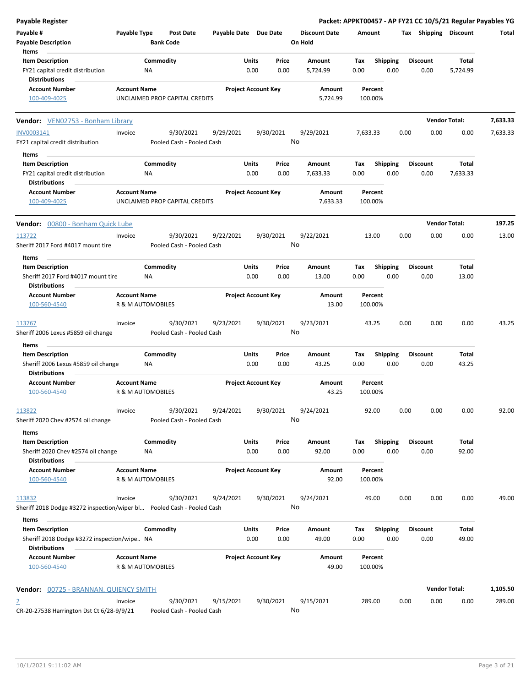| <b>Payable Register</b>                                                                |                     |                                      |                       |                                |                                 | Packet: APPKT00457 - AP FY21 CC 10/5/21 Regular Payables YG |                         |                       |          |
|----------------------------------------------------------------------------------------|---------------------|--------------------------------------|-----------------------|--------------------------------|---------------------------------|-------------------------------------------------------------|-------------------------|-----------------------|----------|
| Payable #<br><b>Payable Description</b>                                                | Payable Type        | <b>Post Date</b><br><b>Bank Code</b> | Payable Date Due Date |                                | <b>Discount Date</b><br>On Hold | Amount                                                      | Tax Shipping Discount   |                       | Total    |
| Items<br><b>Item Description</b>                                                       |                     | Commodity                            |                       | Units<br>Price                 | Amount                          | <b>Shipping</b><br>Tax                                      | <b>Discount</b>         | Total                 |          |
| FY21 capital credit distribution<br><b>Distributions</b>                               |                     | NA                                   |                       | 0.00<br>0.00                   | 5,724.99                        | 0.00<br>0.00                                                | 0.00                    | 5,724.99              |          |
| <b>Account Number</b><br>100-409-4025                                                  | <b>Account Name</b> | UNCLAIMED PROP CAPITAL CREDITS       |                       | <b>Project Account Key</b>     | Amount<br>5,724.99              | Percent<br>100.00%                                          |                         |                       |          |
| <b>Vendor:</b> VEN02753 - Bonham Library                                               |                     |                                      |                       |                                |                                 |                                                             |                         | <b>Vendor Total:</b>  | 7,633.33 |
| INV0003141                                                                             | Invoice             | 9/30/2021                            | 9/29/2021             | 9/30/2021                      | 9/29/2021                       | 7,633.33                                                    | 0.00<br>0.00            | 0.00                  | 7,633.33 |
| FY21 capital credit distribution                                                       |                     | Pooled Cash - Pooled Cash            |                       |                                | No                              |                                                             |                         |                       |          |
| Items                                                                                  |                     |                                      |                       |                                |                                 |                                                             |                         |                       |          |
| <b>Item Description</b>                                                                |                     | Commodity                            |                       | Units<br>Price                 | Amount                          | <b>Shipping</b><br>Tax                                      | <b>Discount</b>         | Total                 |          |
| FY21 capital credit distribution<br><b>Distributions</b>                               |                     | NA                                   |                       | 0.00<br>0.00                   | 7,633.33                        | 0.00<br>0.00                                                | 0.00                    | 7,633.33              |          |
| <b>Account Number</b><br>100-409-4025                                                  | <b>Account Name</b> | UNCLAIMED PROP CAPITAL CREDITS       |                       | <b>Project Account Key</b>     | Amount<br>7,633.33              | Percent<br>100.00%                                          |                         |                       |          |
| <b>Vendor:</b> 00800 - Bonham Quick Lube                                               |                     |                                      |                       |                                |                                 |                                                             |                         | <b>Vendor Total:</b>  | 197.25   |
| 113722                                                                                 | Invoice             | 9/30/2021                            | 9/22/2021             | 9/30/2021                      | 9/22/2021                       | 13.00                                                       | 0.00<br>0.00            | 0.00                  | 13.00    |
| Sheriff 2017 Ford #4017 mount tire                                                     |                     | Pooled Cash - Pooled Cash            |                       |                                | No                              |                                                             |                         |                       |          |
| Items                                                                                  |                     |                                      |                       |                                |                                 |                                                             |                         |                       |          |
| <b>Item Description</b>                                                                |                     | Commodity                            |                       | Units<br>Price                 | Amount                          | Shipping<br>Tax                                             | <b>Discount</b>         | Total                 |          |
| Sheriff 2017 Ford #4017 mount tire<br><b>Distributions</b>                             |                     | <b>NA</b>                            |                       | 0.00<br>0.00                   | 13.00                           | 0.00<br>0.00                                                | 0.00                    | 13.00                 |          |
| <b>Account Number</b>                                                                  | <b>Account Name</b> |                                      |                       | <b>Project Account Key</b>     | Amount                          | Percent                                                     |                         |                       |          |
| 100-560-4540                                                                           |                     | R & M AUTOMOBILES                    |                       |                                | 13.00                           | 100.00%                                                     |                         |                       |          |
| 113767                                                                                 | Invoice             | 9/30/2021                            | 9/23/2021             | 9/30/2021                      | 9/23/2021                       | 43.25                                                       | 0.00<br>0.00            | 0.00                  | 43.25    |
| Sheriff 2006 Lexus #5859 oil change                                                    |                     | Pooled Cash - Pooled Cash            |                       |                                | No                              |                                                             |                         |                       |          |
| Items                                                                                  |                     |                                      |                       |                                |                                 |                                                             |                         |                       |          |
| <b>Item Description</b><br>Sheriff 2006 Lexus #5859 oil change<br><b>Distributions</b> |                     | Commodity<br><b>NA</b>               |                       | Units<br>Price<br>0.00<br>0.00 | Amount<br>43.25                 | Tax<br><b>Shipping</b><br>0.00<br>0.00                      | <b>Discount</b><br>0.00 | <b>Total</b><br>43.25 |          |
| <b>Account Number</b>                                                                  | <b>Account Name</b> |                                      |                       | <b>Project Account Key</b>     | Amount                          | Percent                                                     |                         |                       |          |
| 100-560-4540                                                                           |                     | R & M AUTOMOBILES                    |                       |                                | 43.25                           | 100.00%                                                     |                         |                       |          |
| 113822                                                                                 | Invoice             | 9/30/2021                            | 9/24/2021             | 9/30/2021                      | 9/24/2021                       | 92.00                                                       | 0.00<br>0.00            | 0.00                  | 92.00    |
| Sheriff 2020 Chev #2574 oil change                                                     |                     | Pooled Cash - Pooled Cash            |                       |                                | No                              |                                                             |                         |                       |          |
| Items                                                                                  |                     |                                      |                       |                                |                                 |                                                             |                         |                       |          |
| <b>Item Description</b>                                                                |                     | Commodity                            |                       | Units<br>Price                 | Amount                          | Tax<br><b>Shipping</b>                                      | <b>Discount</b>         | Total                 |          |
| Sheriff 2020 Chev #2574 oil change<br><b>Distributions</b>                             |                     | NA                                   |                       | 0.00<br>0.00                   | 92.00                           | 0.00<br>0.00                                                | 0.00                    | 92.00                 |          |
| <b>Account Number</b><br>100-560-4540                                                  | <b>Account Name</b> | R & M AUTOMOBILES                    |                       | <b>Project Account Key</b>     | Amount<br>92.00                 | Percent<br>100.00%                                          |                         |                       |          |
| 113832                                                                                 | Invoice             | 9/30/2021                            | 9/24/2021             | 9/30/2021                      | 9/24/2021                       | 49.00                                                       | 0.00<br>0.00            | 0.00                  | 49.00    |
| Sheriff 2018 Dodge #3272 inspection/wiper bl  Pooled Cash - Pooled Cash<br>Items       |                     |                                      |                       |                                | No                              |                                                             |                         |                       |          |
| <b>Item Description</b>                                                                |                     | Commodity                            |                       | Units<br>Price                 | Amount                          | <b>Shipping</b><br>Тах                                      | <b>Discount</b>         | Total                 |          |
| Sheriff 2018 Dodge #3272 inspection/wipe NA<br><b>Distributions</b>                    |                     |                                      |                       | 0.00<br>0.00                   | 49.00                           | 0.00<br>0.00                                                | 0.00                    | 49.00                 |          |
| <b>Account Number</b><br>100-560-4540                                                  | <b>Account Name</b> | R & M AUTOMOBILES                    |                       | <b>Project Account Key</b>     | Amount<br>49.00                 | Percent<br>100.00%                                          |                         |                       |          |
| <b>Vendor: 00725 - BRANNAN, QUIENCY SMITH</b>                                          |                     |                                      |                       |                                |                                 |                                                             |                         | <b>Vendor Total:</b>  | 1,105.50 |
|                                                                                        | Invoice             | 9/30/2021                            | 9/15/2021             | 9/30/2021                      | 9/15/2021                       | 289.00                                                      | 0.00<br>0.00            | 0.00                  | 289.00   |
| $\overline{2}$<br>CR-20-27538 Harrington Dst Ct 6/28-9/9/21                            |                     | Pooled Cash - Pooled Cash            |                       |                                | No                              |                                                             |                         |                       |          |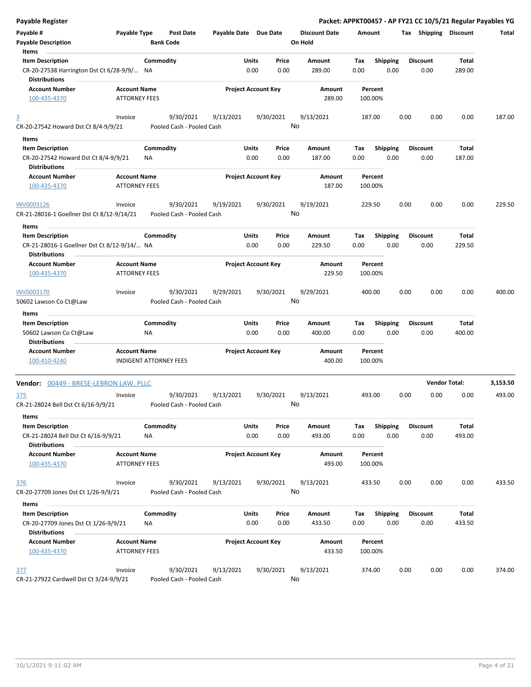| <b>Payable Register</b>                                                        |                                             |                               |                                        |                       |                            |               |                                 |             |                         |      |                         |                      | Packet: APPKT00457 - AP FY21 CC 10/5/21 Regular Payables YG |
|--------------------------------------------------------------------------------|---------------------------------------------|-------------------------------|----------------------------------------|-----------------------|----------------------------|---------------|---------------------------------|-------------|-------------------------|------|-------------------------|----------------------|-------------------------------------------------------------|
| Payable #<br><b>Payable Description</b>                                        | Payable Type                                |                               | <b>Post Date</b><br><b>Bank Code</b>   | Payable Date Due Date |                            |               | <b>Discount Date</b><br>On Hold | Amount      |                         |      | Tax Shipping Discount   |                      | Total                                                       |
| Items<br><b>Item Description</b><br>CR-20-27538 Harrington Dst Ct 6/28-9/9/ NA |                                             | Commodity                     |                                        |                       | Units<br>0.00              | Price<br>0.00 | <b>Amount</b><br>289.00         | Tax<br>0.00 | <b>Shipping</b><br>0.00 |      | <b>Discount</b><br>0.00 | Total<br>289.00      |                                                             |
| <b>Distributions</b><br><b>Account Number</b><br>100-435-4370                  | <b>Account Name</b><br><b>ATTORNEY FEES</b> |                               |                                        |                       | <b>Project Account Key</b> |               | Amount<br>289.00                | 100.00%     | Percent                 |      |                         |                      |                                                             |
| $\overline{3}$                                                                 | Invoice                                     |                               | 9/30/2021                              | 9/13/2021             |                            | 9/30/2021     | 9/13/2021                       | 187.00      |                         | 0.00 | 0.00                    | 0.00                 | 187.00                                                      |
| CR-20-27542 Howard Dst Ct 8/4-9/9/21                                           |                                             |                               | Pooled Cash - Pooled Cash              |                       |                            |               | No                              |             |                         |      |                         |                      |                                                             |
| Items                                                                          |                                             |                               |                                        |                       |                            |               |                                 |             |                         |      |                         |                      |                                                             |
| <b>Item Description</b><br>CR-20-27542 Howard Dst Ct 8/4-9/9/21                |                                             | Commodity<br><b>NA</b>        |                                        |                       | Units<br>0.00              | Price<br>0.00 | Amount<br>187.00                | Tax<br>0.00 | <b>Shipping</b><br>0.00 |      | <b>Discount</b><br>0.00 | Total<br>187.00      |                                                             |
| <b>Distributions</b><br><b>Account Number</b>                                  |                                             |                               |                                        |                       | <b>Project Account Key</b> |               |                                 | Percent     |                         |      |                         |                      |                                                             |
| 100-435-4370                                                                   | <b>Account Name</b><br><b>ATTORNEY FEES</b> |                               |                                        |                       |                            |               | Amount<br>187.00                | 100.00%     |                         |      |                         |                      |                                                             |
| INV0003126<br>CR-21-28016-1 Goellner Dst Ct 8/12-9/14/21                       | Invoice                                     |                               | 9/30/2021<br>Pooled Cash - Pooled Cash | 9/19/2021             |                            | 9/30/2021     | 9/19/2021<br>No                 | 229.50      |                         | 0.00 | 0.00                    | 0.00                 | 229.50                                                      |
| Items                                                                          |                                             |                               |                                        |                       |                            |               |                                 |             |                         |      |                         |                      |                                                             |
| <b>Item Description</b>                                                        |                                             | Commodity                     |                                        |                       | Units                      | Price         | <b>Amount</b>                   | Tax         | <b>Shipping</b>         |      | <b>Discount</b>         | Total                |                                                             |
| CR-21-28016-1 Goellner Dst Ct 8/12-9/14/ NA                                    |                                             |                               |                                        |                       | 0.00                       | 0.00          | 229.50                          | 0.00        | 0.00                    |      | 0.00                    | 229.50               |                                                             |
| <b>Distributions</b><br><b>Account Number</b>                                  | <b>Account Name</b>                         |                               |                                        |                       | <b>Project Account Key</b> |               | Amount                          | Percent     |                         |      |                         |                      |                                                             |
| 100-435-4370                                                                   | <b>ATTORNEY FEES</b>                        |                               |                                        |                       |                            |               | 229.50                          | 100.00%     |                         |      |                         |                      |                                                             |
| INV0003170                                                                     | Invoice                                     |                               | 9/30/2021                              | 9/29/2021             |                            | 9/30/2021     | 9/29/2021<br>No                 | 400.00      |                         | 0.00 | 0.00                    | 0.00                 | 400.00                                                      |
| 50602 Lawson Co Ct@Law                                                         |                                             |                               | Pooled Cash - Pooled Cash              |                       |                            |               |                                 |             |                         |      |                         |                      |                                                             |
| Items                                                                          |                                             |                               |                                        |                       |                            |               |                                 |             |                         |      |                         |                      |                                                             |
| <b>Item Description</b><br>50602 Lawson Co Ct@Law                              |                                             | Commodity<br>ΝA               |                                        |                       | Units<br>0.00              | Price<br>0.00 | Amount<br>400.00                | Tax<br>0.00 | <b>Shipping</b><br>0.00 |      | <b>Discount</b><br>0.00 | Total<br>400.00      |                                                             |
| <b>Distributions</b><br><b>Account Number</b>                                  | <b>Account Name</b>                         |                               |                                        |                       | <b>Project Account Key</b> |               | Amount                          |             | Percent                 |      |                         |                      |                                                             |
| 100-410-4240                                                                   |                                             | <b>INDIGENT ATTORNEY FEES</b> |                                        |                       |                            |               | 400.00                          | 100.00%     |                         |      |                         |                      |                                                             |
| <b>Vendor: 00449 - BRESE-LEBRON LAW, PLLC</b>                                  |                                             |                               |                                        |                       |                            |               |                                 |             |                         |      |                         | <b>Vendor Total:</b> | 3,153.50                                                    |
| 375<br>CR-21-28024 Bell Dst Ct 6/16-9/9/21                                     | Invoice                                     |                               | 9/30/2021<br>Pooled Cash - Pooled Cash | 9/13/2021             |                            | 9/30/2021     | 9/13/2021<br>No                 | 493.00      |                         | 0.00 | 0.00                    | 0.00                 | 493.00                                                      |
| Items<br><b>Item Description</b><br>CR-21-28024 Bell Dst Ct 6/16-9/9/21        |                                             | Commodity<br>ΝA               |                                        |                       | Units<br>0.00              | Price<br>0.00 | Amount<br>493.00                | Tax<br>0.00 | <b>Shipping</b><br>0.00 |      | <b>Discount</b><br>0.00 | Total<br>493.00      |                                                             |
| <b>Distributions</b><br><b>Account Number</b>                                  | <b>Account Name</b>                         |                               |                                        |                       | <b>Project Account Key</b> |               | Amount                          |             | Percent                 |      |                         |                      |                                                             |
| 100-435-4370                                                                   | <b>ATTORNEY FEES</b>                        |                               |                                        |                       |                            |               | 493.00                          | 100.00%     |                         |      |                         |                      |                                                             |
| 376<br>CR-20-27709 Jones Dst Ct 1/26-9/9/21                                    | Invoice                                     |                               | 9/30/2021<br>Pooled Cash - Pooled Cash | 9/13/2021             |                            | 9/30/2021     | 9/13/2021<br>No                 | 433.50      |                         | 0.00 | 0.00                    | 0.00                 | 433.50                                                      |
| Items                                                                          |                                             |                               |                                        |                       |                            |               |                                 |             |                         |      |                         |                      |                                                             |
| <b>Item Description</b><br>CR-20-27709 Jones Dst Ct 1/26-9/9/21                |                                             | Commodity<br>NA               |                                        |                       | Units<br>0.00              | Price<br>0.00 | Amount<br>433.50                | Tax<br>0.00 | Shipping<br>0.00        |      | <b>Discount</b><br>0.00 | Total<br>433.50      |                                                             |
| <b>Distributions</b><br><b>Account Number</b><br>100-435-4370                  | <b>Account Name</b><br><b>ATTORNEY FEES</b> |                               |                                        |                       | <b>Project Account Key</b> |               | Amount<br>433.50                | 100.00%     | Percent                 |      |                         |                      |                                                             |
| <u>377</u>                                                                     | Invoice                                     |                               | 9/30/2021                              | 9/13/2021             |                            | 9/30/2021     | 9/13/2021                       | 374.00      |                         | 0.00 | 0.00                    | 0.00                 | 374.00                                                      |
| CR-21-27922 Cardwell Dst Ct 3/24-9/9/21                                        |                                             |                               | Pooled Cash - Pooled Cash              |                       |                            |               | No                              |             |                         |      |                         |                      |                                                             |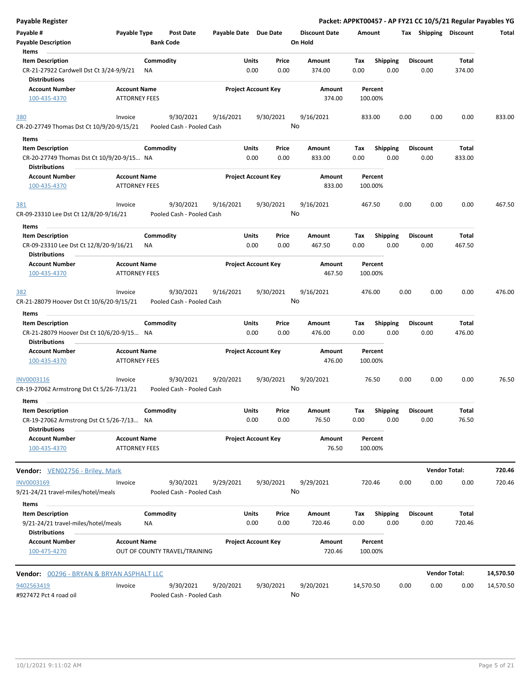| <b>Payable Register</b>                                                                      |                      |                               |                                        |                       |                            |               |                      |             |                         |      |                         |                      | Packet: APPKT00457 - AP FY21 CC 10/5/21 Regular Payables YG |
|----------------------------------------------------------------------------------------------|----------------------|-------------------------------|----------------------------------------|-----------------------|----------------------------|---------------|----------------------|-------------|-------------------------|------|-------------------------|----------------------|-------------------------------------------------------------|
| Payable #                                                                                    | Payable Type         |                               | <b>Post Date</b>                       | Payable Date Due Date |                            |               | <b>Discount Date</b> | Amount      |                         |      | Tax Shipping Discount   |                      | Total                                                       |
| <b>Payable Description</b>                                                                   |                      | <b>Bank Code</b>              |                                        |                       |                            |               | On Hold              |             |                         |      |                         |                      |                                                             |
| Items                                                                                        |                      |                               |                                        |                       |                            |               |                      |             |                         |      |                         |                      |                                                             |
| <b>Item Description</b>                                                                      |                      | Commodity                     |                                        |                       | <b>Units</b>               | Price         | Amount               | Tax         | <b>Shipping</b>         |      | <b>Discount</b>         | Total                |                                                             |
| CR-21-27922 Cardwell Dst Ct 3/24-9/9/21                                                      |                      | ΝA                            |                                        |                       | 0.00                       | 0.00          | 374.00               | 0.00        | 0.00                    |      | 0.00                    | 374.00               |                                                             |
| <b>Distributions</b>                                                                         |                      |                               |                                        |                       |                            |               |                      |             |                         |      |                         |                      |                                                             |
| <b>Account Number</b>                                                                        | <b>Account Name</b>  |                               |                                        |                       | <b>Project Account Key</b> |               | Amount               |             | Percent                 |      |                         |                      |                                                             |
| 100-435-4370                                                                                 | <b>ATTORNEY FEES</b> |                               |                                        |                       |                            |               | 374.00               |             | 100.00%                 |      |                         |                      |                                                             |
| 380                                                                                          | Invoice              |                               | 9/30/2021                              | 9/16/2021             |                            | 9/30/2021     | 9/16/2021            |             | 833.00                  | 0.00 | 0.00                    | 0.00                 | 833.00                                                      |
| CR-20-27749 Thomas Dst Ct 10/9/20-9/15/21                                                    |                      |                               | Pooled Cash - Pooled Cash              |                       |                            |               | No                   |             |                         |      |                         |                      |                                                             |
| Items                                                                                        |                      |                               |                                        |                       |                            |               |                      |             |                         |      |                         |                      |                                                             |
| <b>Item Description</b>                                                                      |                      | Commodity                     |                                        |                       | <b>Units</b>               | Price         | Amount               | Tax         | <b>Shipping</b>         |      | <b>Discount</b>         | Total                |                                                             |
| CR-20-27749 Thomas Dst Ct 10/9/20-9/15 NA                                                    |                      |                               |                                        |                       | 0.00                       | 0.00          | 833.00               | 0.00        | 0.00                    |      | 0.00                    | 833.00               |                                                             |
| <b>Distributions</b>                                                                         |                      |                               |                                        |                       |                            |               |                      |             |                         |      |                         |                      |                                                             |
| <b>Account Number</b>                                                                        | <b>Account Name</b>  |                               |                                        |                       | <b>Project Account Key</b> |               | Amount               |             | Percent                 |      |                         |                      |                                                             |
| 100-435-4370                                                                                 | <b>ATTORNEY FEES</b> |                               |                                        |                       |                            |               | 833.00               |             | 100.00%                 |      |                         |                      |                                                             |
|                                                                                              | Invoice              |                               | 9/30/2021                              | 9/16/2021             |                            | 9/30/2021     | 9/16/2021            |             |                         | 0.00 | 0.00                    | 0.00                 | 467.50                                                      |
| <u>381</u><br>CR-09-23310 Lee Dst Ct 12/8/20-9/16/21                                         |                      |                               | Pooled Cash - Pooled Cash              |                       |                            |               | No                   |             | 467.50                  |      |                         |                      |                                                             |
|                                                                                              |                      |                               |                                        |                       |                            |               |                      |             |                         |      |                         |                      |                                                             |
| Items<br><b>Item Description</b>                                                             |                      | Commodity                     |                                        |                       | Units                      | Price         | Amount               | Tax         | <b>Shipping</b>         |      | <b>Discount</b>         | Total                |                                                             |
|                                                                                              |                      |                               |                                        |                       |                            |               |                      |             |                         |      |                         |                      |                                                             |
| CR-09-23310 Lee Dst Ct 12/8/20-9/16/21<br><b>Distributions</b>                               |                      | ΝA                            |                                        |                       | 0.00                       | 0.00          | 467.50               | 0.00        | 0.00                    |      | 0.00                    | 467.50               |                                                             |
| <b>Account Number</b>                                                                        | <b>Account Name</b>  |                               |                                        |                       | <b>Project Account Key</b> |               | Amount               |             | Percent                 |      |                         |                      |                                                             |
| 100-435-4370                                                                                 | <b>ATTORNEY FEES</b> |                               |                                        |                       |                            |               | 467.50               |             | 100.00%                 |      |                         |                      |                                                             |
| 382                                                                                          | Invoice              |                               | 9/30/2021                              | 9/16/2021             |                            | 9/30/2021     | 9/16/2021            |             | 476.00                  | 0.00 | 0.00                    | 0.00                 | 476.00                                                      |
| CR-21-28079 Hoover Dst Ct 10/6/20-9/15/21                                                    |                      |                               | Pooled Cash - Pooled Cash              |                       |                            |               | No                   |             |                         |      |                         |                      |                                                             |
| Items                                                                                        |                      |                               |                                        |                       |                            |               |                      |             |                         |      |                         |                      |                                                             |
| <b>Item Description</b><br>CR-21-28079 Hoover Dst Ct 10/6/20-9/15 NA<br><b>Distributions</b> |                      | Commodity                     |                                        |                       | <b>Units</b><br>0.00       | Price<br>0.00 | Amount<br>476.00     | Tax<br>0.00 | Shipping<br>0.00        |      | <b>Discount</b><br>0.00 | Total<br>476.00      |                                                             |
| <b>Account Number</b>                                                                        | <b>Account Name</b>  |                               |                                        |                       | <b>Project Account Key</b> |               | Amount               |             | Percent                 |      |                         |                      |                                                             |
| 100-435-4370                                                                                 | <b>ATTORNEY FEES</b> |                               |                                        |                       |                            |               | 476.00               |             | 100.00%                 |      |                         |                      |                                                             |
| INV0003116                                                                                   | Invoice              |                               | 9/30/2021                              | 9/20/2021             |                            | 9/30/2021     | 9/20/2021            |             | 76.50                   | 0.00 | 0.00                    | 0.00                 | 76.50                                                       |
| CR-19-27062 Armstrong Dst Ct 5/26-7/13/21                                                    |                      |                               | Pooled Cash - Pooled Cash              |                       |                            |               | No                   |             |                         |      |                         |                      |                                                             |
|                                                                                              |                      |                               |                                        |                       |                            |               |                      |             |                         |      |                         |                      |                                                             |
| Items                                                                                        |                      |                               |                                        |                       | Units                      |               |                      |             |                         |      | <b>Discount</b>         |                      |                                                             |
| <b>Item Description</b><br>CR-19-27062 Armstrong Dst Ct 5/26-7/13 NA                         |                      | Commodity                     |                                        |                       | 0.00                       | Price<br>0.00 | Amount<br>76.50      | Tax<br>0.00 | <b>Shipping</b><br>0.00 |      | 0.00                    | Total<br>76.50       |                                                             |
| <b>Distributions</b>                                                                         |                      |                               |                                        |                       |                            |               |                      |             |                         |      |                         |                      |                                                             |
| <b>Account Number</b>                                                                        | <b>Account Name</b>  |                               |                                        |                       | <b>Project Account Key</b> |               | Amount               |             | Percent                 |      |                         |                      |                                                             |
| 100-435-4370                                                                                 | <b>ATTORNEY FEES</b> |                               |                                        |                       |                            |               | 76.50                |             | 100.00%                 |      |                         |                      |                                                             |
| <b>Vendor:</b> VEN02756 - Briley, Mark                                                       |                      |                               |                                        |                       |                            |               |                      |             |                         |      |                         | <b>Vendor Total:</b> | 720.46                                                      |
|                                                                                              |                      |                               |                                        |                       |                            |               |                      |             |                         |      |                         |                      |                                                             |
| INV0003169<br>9/21-24/21 travel-miles/hotel/meals                                            | Invoice              |                               | 9/30/2021<br>Pooled Cash - Pooled Cash | 9/29/2021             |                            | 9/30/2021     | 9/29/2021<br>No      |             | 720.46                  | 0.00 | 0.00                    | 0.00                 | 720.46                                                      |
| Items                                                                                        |                      |                               |                                        |                       |                            |               |                      |             |                         |      |                         |                      |                                                             |
| <b>Item Description</b>                                                                      |                      | Commodity                     |                                        |                       | <b>Units</b>               | Price         | Amount               | Tax         | <b>Shipping</b>         |      | <b>Discount</b>         | Total                |                                                             |
| 9/21-24/21 travel-miles/hotel/meals                                                          |                      | NA                            |                                        |                       | 0.00                       | 0.00          | 720.46               | 0.00        | 0.00                    |      | 0.00                    | 720.46               |                                                             |
| <b>Distributions</b>                                                                         |                      |                               |                                        |                       |                            |               |                      |             |                         |      |                         |                      |                                                             |
| <b>Account Number</b><br>100-475-4270                                                        | <b>Account Name</b>  | OUT OF COUNTY TRAVEL/TRAINING |                                        |                       | <b>Project Account Key</b> |               | Amount<br>720.46     |             | Percent<br>100.00%      |      |                         |                      |                                                             |
| <b>Vendor: 00296 - BRYAN &amp; BRYAN ASPHALT LLC</b>                                         |                      |                               |                                        |                       |                            |               |                      |             |                         |      |                         | <b>Vendor Total:</b> | 14,570.50                                                   |
| 9402563419                                                                                   | Invoice              |                               | 9/30/2021                              | 9/20/2021             |                            | 9/30/2021     | 9/20/2021            | 14,570.50   |                         | 0.00 | 0.00                    | 0.00                 | 14,570.50                                                   |
| #927472 Pct 4 road oil                                                                       |                      |                               | Pooled Cash - Pooled Cash              |                       |                            |               | No                   |             |                         |      |                         |                      |                                                             |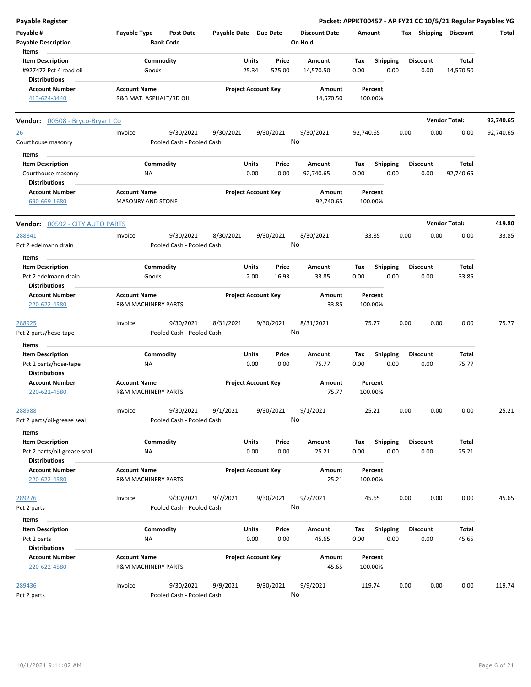| <b>Payable Register</b>                |                                  |                       |                            |                      | Packet: APPKT00457 - AP FY21 CC 10/5/21 Regular Payables YG |      |                 |                       |           |
|----------------------------------------|----------------------------------|-----------------------|----------------------------|----------------------|-------------------------------------------------------------|------|-----------------|-----------------------|-----------|
| Payable #                              | Payable Type<br><b>Post Date</b> | Payable Date Due Date |                            | <b>Discount Date</b> | Amount                                                      |      |                 | Tax Shipping Discount | Total     |
| <b>Payable Description</b>             | <b>Bank Code</b>                 |                       |                            | On Hold              |                                                             |      |                 |                       |           |
| Items                                  |                                  |                       |                            |                      |                                                             |      |                 |                       |           |
| <b>Item Description</b>                | Commodity                        |                       | Units<br>Price             | Amount               | <b>Shipping</b><br>Tax                                      |      | <b>Discount</b> | Total                 |           |
| #927472 Pct 4 road oil                 | Goods                            |                       | 25.34<br>575.00            | 14,570.50            | 0.00<br>0.00                                                |      | 0.00            | 14,570.50             |           |
| <b>Distributions</b>                   |                                  |                       |                            |                      |                                                             |      |                 |                       |           |
| <b>Account Number</b>                  | <b>Account Name</b>              |                       | <b>Project Account Key</b> | Amount               | Percent                                                     |      |                 |                       |           |
| 413-624-3440                           | R&B MAT. ASPHALT/RD OIL          |                       |                            | 14,570.50            | 100.00%                                                     |      |                 |                       |           |
|                                        |                                  |                       |                            |                      |                                                             |      |                 |                       |           |
| <b>Vendor:</b> 00508 - Bryco-Bryant Co |                                  |                       |                            |                      |                                                             |      |                 | <b>Vendor Total:</b>  | 92,740.65 |
| <u>26</u>                              | 9/30/2021<br>Invoice             | 9/30/2021             | 9/30/2021                  | 9/30/2021            | 92,740.65                                                   | 0.00 | 0.00            | 0.00                  | 92,740.65 |
| Courthouse masonry                     | Pooled Cash - Pooled Cash        |                       |                            | No                   |                                                             |      |                 |                       |           |
| Items                                  |                                  |                       |                            |                      |                                                             |      |                 |                       |           |
| <b>Item Description</b>                | Commodity                        |                       | Units<br>Price             | Amount               | <b>Shipping</b><br>Tax                                      |      | <b>Discount</b> | Total                 |           |
|                                        | NA                               |                       | 0.00<br>0.00               |                      | 0.00<br>0.00                                                |      |                 |                       |           |
| Courthouse masonry                     |                                  |                       |                            | 92,740.65            |                                                             |      | 0.00            | 92,740.65             |           |
| <b>Distributions</b>                   |                                  |                       |                            |                      |                                                             |      |                 |                       |           |
| <b>Account Number</b>                  | <b>Account Name</b>              |                       | <b>Project Account Key</b> | Amount               | Percent                                                     |      |                 |                       |           |
| 690-669-1680                           | <b>MASONRY AND STONE</b>         |                       |                            | 92,740.65            | 100.00%                                                     |      |                 |                       |           |
| <b>Vendor: 00592 - CITY AUTO PARTS</b> |                                  |                       |                            |                      |                                                             |      |                 | <b>Vendor Total:</b>  | 419.80    |
| 288841                                 | 9/30/2021<br>Invoice             | 8/30/2021             | 9/30/2021                  | 8/30/2021            | 33.85                                                       | 0.00 | 0.00            | 0.00                  | 33.85     |
| Pct 2 edelmann drain                   | Pooled Cash - Pooled Cash        |                       |                            | No                   |                                                             |      |                 |                       |           |
|                                        |                                  |                       |                            |                      |                                                             |      |                 |                       |           |
| Items                                  |                                  |                       |                            |                      |                                                             |      |                 |                       |           |
| <b>Item Description</b>                | Commodity                        |                       | Units<br>Price             | Amount               | <b>Shipping</b><br>Tax                                      |      | <b>Discount</b> | Total                 |           |
| Pct 2 edelmann drain                   | Goods                            |                       | 2.00<br>16.93              | 33.85                | 0.00<br>0.00                                                |      | 0.00            | 33.85                 |           |
| <b>Distributions</b>                   |                                  |                       |                            |                      |                                                             |      |                 |                       |           |
| <b>Account Number</b>                  | <b>Account Name</b>              |                       | <b>Project Account Key</b> | Amount               | Percent                                                     |      |                 |                       |           |
| 220-622-4580                           | <b>R&amp;M MACHINERY PARTS</b>   |                       |                            | 33.85                | 100.00%                                                     |      |                 |                       |           |
| 288925                                 | 9/30/2021<br>Invoice             | 8/31/2021             | 9/30/2021                  | 8/31/2021            | 75.77                                                       | 0.00 | 0.00            | 0.00                  | 75.77     |
| Pct 2 parts/hose-tape                  | Pooled Cash - Pooled Cash        |                       |                            | No                   |                                                             |      |                 |                       |           |
|                                        |                                  |                       |                            |                      |                                                             |      |                 |                       |           |
| Items<br><b>Item Description</b>       |                                  |                       |                            |                      |                                                             |      |                 |                       |           |
|                                        | Commodity                        |                       | Units<br>Price             | Amount               | Tax<br><b>Shipping</b>                                      |      | <b>Discount</b> | Total                 |           |
| Pct 2 parts/hose-tape                  | <b>NA</b>                        |                       | 0.00<br>0.00               | 75.77                | 0.00<br>0.00                                                |      | 0.00            | 75.77                 |           |
| <b>Distributions</b>                   |                                  |                       |                            |                      |                                                             |      |                 |                       |           |
| <b>Account Number</b>                  | <b>Account Name</b>              |                       | <b>Project Account Key</b> | Amount               | Percent                                                     |      |                 |                       |           |
| 220-622-4580                           | <b>R&amp;M MACHINERY PARTS</b>   |                       |                            | 75.77                | 100.00%                                                     |      |                 |                       |           |
| 288988                                 | 9/30/2021<br>Invoice             | 9/1/2021              | 9/30/2021                  | 9/1/2021             | 25.21                                                       | 0.00 | 0.00            | 0.00                  | 25.21     |
| Pct 2 parts/oil-grease seal            | Pooled Cash - Pooled Cash        |                       |                            | No                   |                                                             |      |                 |                       |           |
| Items                                  |                                  |                       |                            |                      |                                                             |      |                 |                       |           |
| <b>Item Description</b>                | Commodity                        |                       | Units<br>Price             | Amount               | <b>Shipping</b><br>Tax                                      |      | <b>Discount</b> | Total                 |           |
| Pct 2 parts/oil-grease seal            |                                  |                       | 0.00<br>0.00               | 25.21                | 0.00<br>0.00                                                |      | 0.00            | 25.21                 |           |
|                                        | ΝA                               |                       |                            |                      |                                                             |      |                 |                       |           |
| <b>Distributions</b>                   |                                  |                       |                            |                      |                                                             |      |                 |                       |           |
| <b>Account Number</b>                  | <b>Account Name</b>              |                       | <b>Project Account Key</b> | Amount               | Percent                                                     |      |                 |                       |           |
| 220-622-4580                           | R&M MACHINERY PARTS              |                       |                            | 25.21                | 100.00%                                                     |      |                 |                       |           |
| 289276                                 | 9/30/2021<br>Invoice             | 9/7/2021              | 9/30/2021                  | 9/7/2021             | 45.65                                                       | 0.00 | 0.00            | 0.00                  | 45.65     |
| Pct 2 parts                            | Pooled Cash - Pooled Cash        |                       |                            | No                   |                                                             |      |                 |                       |           |
|                                        |                                  |                       |                            |                      |                                                             |      |                 |                       |           |
| Items                                  |                                  |                       |                            |                      |                                                             |      |                 |                       |           |
| <b>Item Description</b>                | Commodity                        |                       | Units<br>Price             | Amount               | Tax<br><b>Shipping</b>                                      |      | <b>Discount</b> | Total                 |           |
| Pct 2 parts                            | NA                               |                       | 0.00<br>0.00               | 45.65                | 0.00<br>0.00                                                |      | 0.00            | 45.65                 |           |
| <b>Distributions</b>                   |                                  |                       |                            |                      |                                                             |      |                 |                       |           |
| <b>Account Number</b>                  | <b>Account Name</b>              |                       | <b>Project Account Key</b> | Amount               | Percent                                                     |      |                 |                       |           |
| 220-622-4580                           | R&M MACHINERY PARTS              |                       |                            | 45.65                | 100.00%                                                     |      |                 |                       |           |
|                                        |                                  |                       |                            |                      |                                                             |      |                 |                       |           |
| 289436                                 | Invoice<br>9/30/2021             | 9/9/2021              | 9/30/2021                  | 9/9/2021             | 119.74                                                      | 0.00 | 0.00            | 0.00                  | 119.74    |
| Pct 2 parts                            | Pooled Cash - Pooled Cash        |                       |                            | No                   |                                                             |      |                 |                       |           |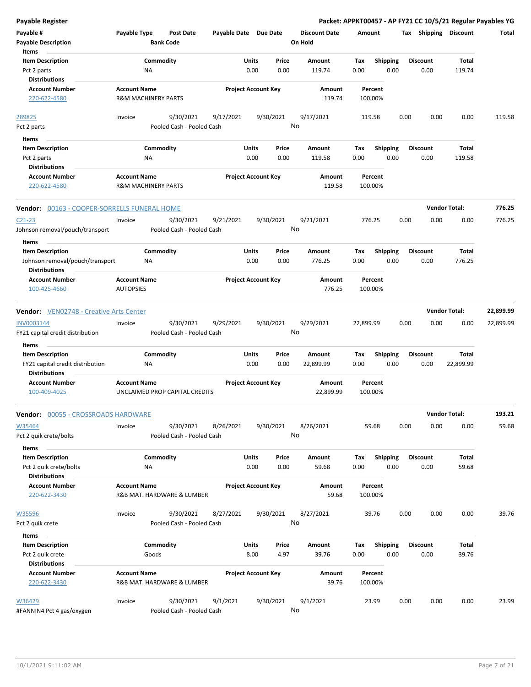| <b>Payable Register</b>                                                             |                                                       |                                        |                       |                            |               |                                 |             |                         |      |                         |                       | Packet: APPKT00457 - AP FY21 CC 10/5/21 Regular Payables YG |
|-------------------------------------------------------------------------------------|-------------------------------------------------------|----------------------------------------|-----------------------|----------------------------|---------------|---------------------------------|-------------|-------------------------|------|-------------------------|-----------------------|-------------------------------------------------------------|
| Payable #<br><b>Payable Description</b>                                             | Payable Type                                          | Post Date<br><b>Bank Code</b>          | Payable Date Due Date |                            |               | <b>Discount Date</b><br>On Hold | Amount      |                         |      |                         | Tax Shipping Discount | Total                                                       |
| Items                                                                               |                                                       |                                        |                       |                            |               |                                 |             |                         |      |                         |                       |                                                             |
| <b>Item Description</b>                                                             |                                                       | Commodity                              |                       | Units                      | Price         | Amount                          | Tax         | <b>Shipping</b>         |      | <b>Discount</b>         | Total                 |                                                             |
| Pct 2 parts<br><b>Distributions</b>                                                 | NA                                                    |                                        |                       | 0.00                       | 0.00          | 119.74                          | 0.00        | 0.00                    |      | 0.00                    | 119.74                |                                                             |
| <b>Account Number</b>                                                               | <b>Account Name</b>                                   |                                        |                       | <b>Project Account Key</b> |               | Amount                          |             | Percent                 |      |                         |                       |                                                             |
| 220-622-4580                                                                        | <b>R&amp;M MACHINERY PARTS</b>                        |                                        |                       |                            |               | 119.74                          |             | 100.00%                 |      |                         |                       |                                                             |
| 289825                                                                              | Invoice                                               | 9/30/2021                              | 9/17/2021             | 9/30/2021                  |               | 9/17/2021                       |             | 119.58                  | 0.00 | 0.00                    | 0.00                  | 119.58                                                      |
| Pct 2 parts                                                                         |                                                       | Pooled Cash - Pooled Cash              |                       |                            |               | No                              |             |                         |      |                         |                       |                                                             |
| Items                                                                               |                                                       |                                        |                       |                            |               |                                 |             |                         |      |                         |                       |                                                             |
| <b>Item Description</b>                                                             |                                                       | Commodity                              |                       | Units                      | Price         | Amount                          | Tax         | <b>Shipping</b>         |      | <b>Discount</b>         | Total                 |                                                             |
| Pct 2 parts                                                                         | NA                                                    |                                        |                       | 0.00                       | 0.00          | 119.58                          | 0.00        | 0.00                    |      | 0.00                    | 119.58                |                                                             |
| <b>Distributions</b>                                                                |                                                       |                                        |                       |                            |               |                                 |             |                         |      |                         |                       |                                                             |
| <b>Account Number</b><br>220-622-4580                                               | <b>Account Name</b><br><b>R&amp;M MACHINERY PARTS</b> |                                        |                       | <b>Project Account Key</b> |               | Amount<br>119.58                |             | Percent<br>100.00%      |      |                         |                       |                                                             |
| Vendor: 00163 - COOPER-SORRELLS FUNERAL HOME                                        |                                                       |                                        |                       |                            |               |                                 |             |                         |      |                         | <b>Vendor Total:</b>  | 776.25                                                      |
| $C21-23$                                                                            | Invoice                                               | 9/30/2021                              | 9/21/2021             | 9/30/2021                  |               | 9/21/2021                       |             | 776.25                  | 0.00 | 0.00                    | 0.00                  | 776.25                                                      |
| Johnson removal/pouch/transport                                                     |                                                       | Pooled Cash - Pooled Cash              |                       |                            |               | No                              |             |                         |      |                         |                       |                                                             |
| Items                                                                               |                                                       |                                        |                       |                            |               |                                 |             |                         |      |                         |                       |                                                             |
| <b>Item Description</b>                                                             |                                                       | Commodity                              |                       | Units                      | Price         | Amount                          | Tax         | <b>Shipping</b>         |      | <b>Discount</b>         | Total                 |                                                             |
| Johnson removal/pouch/transport                                                     | NA                                                    |                                        |                       | 0.00                       | 0.00          | 776.25                          | 0.00        | 0.00                    |      | 0.00                    | 776.25                |                                                             |
| <b>Distributions</b><br><b>Account Number</b><br>100-425-4660                       | <b>Account Name</b><br><b>AUTOPSIES</b>               |                                        |                       | <b>Project Account Key</b> |               | Amount<br>776.25                |             | Percent<br>100.00%      |      |                         |                       |                                                             |
|                                                                                     |                                                       |                                        |                       |                            |               |                                 |             |                         |      |                         |                       |                                                             |
| <b>Vendor:</b> VEN02748 - Creative Arts Center                                      |                                                       |                                        |                       |                            |               |                                 |             |                         |      |                         | <b>Vendor Total:</b>  | 22,899.99                                                   |
| INV0003144<br>FY21 capital credit distribution                                      | Invoice                                               | 9/30/2021<br>Pooled Cash - Pooled Cash | 9/29/2021             | 9/30/2021                  |               | 9/29/2021<br>No                 | 22,899.99   |                         | 0.00 | 0.00                    | 0.00                  | 22,899.99                                                   |
| Items                                                                               |                                                       |                                        |                       |                            |               |                                 |             |                         |      |                         |                       |                                                             |
| <b>Item Description</b><br>FY21 capital credit distribution<br><b>Distributions</b> | NA                                                    | Commodity                              |                       | Units<br>0.00              | Price<br>0.00 | Amount<br>22,899.99             | Tax<br>0.00 | <b>Shipping</b><br>0.00 |      | <b>Discount</b><br>0.00 | Total<br>22,899.99    |                                                             |
| <b>Account Number</b><br>100-409-4025                                               | <b>Account Name</b>                                   | UNCLAIMED PROP CAPITAL CREDITS         |                       | <b>Project Account Key</b> |               | Amount<br>22,899.99             |             | Percent<br>100.00%      |      |                         |                       |                                                             |
| Vendor: 00055 - CROSSROADS HARDWARE                                                 |                                                       |                                        |                       |                            |               |                                 |             |                         |      |                         | <b>Vendor Total:</b>  | 193.21                                                      |
| W35464<br>Pct 2 quik crete/bolts                                                    | Invoice                                               | 9/30/2021<br>Pooled Cash - Pooled Cash | 8/26/2021             | 9/30/2021                  |               | 8/26/2021<br>No                 |             | 59.68                   | 0.00 | 0.00                    | 0.00                  | 59.68                                                       |
| Items                                                                               |                                                       |                                        |                       |                            |               |                                 |             |                         |      |                         |                       |                                                             |
| <b>Item Description</b>                                                             |                                                       | Commodity                              |                       | Units                      | Price         | Amount                          | Tax         | <b>Shipping</b>         |      | <b>Discount</b>         | Total                 |                                                             |
| Pct 2 quik crete/bolts<br><b>Distributions</b>                                      | ΝA                                                    |                                        |                       | 0.00                       | 0.00          | 59.68                           | 0.00        | 0.00                    |      | 0.00                    | 59.68                 |                                                             |
| <b>Account Number</b><br>220-622-3430                                               | <b>Account Name</b>                                   | R&B MAT. HARDWARE & LUMBER             |                       | <b>Project Account Key</b> |               | Amount<br>59.68                 |             | Percent<br>100.00%      |      |                         |                       |                                                             |
|                                                                                     |                                                       |                                        |                       |                            |               |                                 |             |                         |      |                         |                       |                                                             |
| W35596<br>Pct 2 quik crete                                                          | Invoice                                               | 9/30/2021<br>Pooled Cash - Pooled Cash | 8/27/2021             | 9/30/2021                  |               | 8/27/2021<br>No                 |             | 39.76                   | 0.00 | 0.00                    | 0.00                  | 39.76                                                       |
| Items                                                                               |                                                       |                                        |                       |                            |               |                                 |             |                         |      |                         |                       |                                                             |
| <b>Item Description</b>                                                             |                                                       | Commodity                              |                       | Units                      | Price         | Amount                          | Tax         | <b>Shipping</b>         |      | <b>Discount</b>         | Total                 |                                                             |
| Pct 2 quik crete                                                                    |                                                       | Goods                                  |                       | 8.00                       | 4.97          | 39.76                           | 0.00        | 0.00                    |      | 0.00                    | 39.76                 |                                                             |
| <b>Distributions</b>                                                                |                                                       |                                        |                       |                            |               |                                 |             |                         |      |                         |                       |                                                             |
| <b>Account Number</b><br>220-622-3430                                               | <b>Account Name</b>                                   | R&B MAT. HARDWARE & LUMBER             |                       | <b>Project Account Key</b> |               | Amount<br>39.76                 |             | Percent<br>100.00%      |      |                         |                       |                                                             |
| W36429<br>#FANNIN4 Pct 4 gas/oxygen                                                 | Invoice                                               | 9/30/2021<br>Pooled Cash - Pooled Cash | 9/1/2021              | 9/30/2021                  |               | 9/1/2021<br>No                  |             | 23.99                   | 0.00 | 0.00                    | 0.00                  | 23.99                                                       |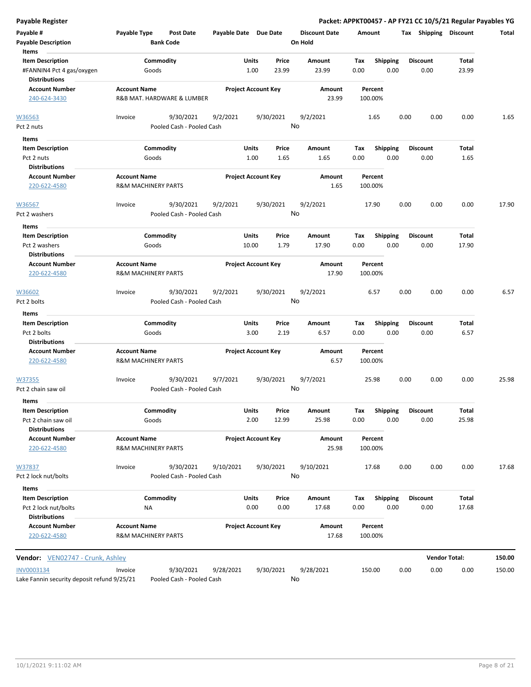| <b>Payable Register</b>                                                               |                     |                                        |                       |                            |                 |                                 |                    |                         |      |                         | Packet: APPKT00457 - AP FY21 CC 10/5/21 Regular Payables YG |        |
|---------------------------------------------------------------------------------------|---------------------|----------------------------------------|-----------------------|----------------------------|-----------------|---------------------------------|--------------------|-------------------------|------|-------------------------|-------------------------------------------------------------|--------|
| Payable #<br><b>Payable Description</b>                                               | Payable Type        | <b>Post Date</b><br><b>Bank Code</b>   | Payable Date Due Date |                            |                 | <b>Discount Date</b><br>On Hold | Amount             |                         |      |                         | Tax Shipping Discount                                       | Total  |
| Items<br><b>Item Description</b><br>#FANNIN4 Pct 4 gas/oxygen<br><b>Distributions</b> |                     | Commodity<br>Goods                     |                       | Units<br>1.00              | Price<br>23.99  | Amount<br>23.99                 | Tax<br>0.00        | <b>Shipping</b><br>0.00 |      | <b>Discount</b><br>0.00 | Total<br>23.99                                              |        |
| <b>Account Number</b><br>240-624-3430                                                 | <b>Account Name</b> | R&B MAT. HARDWARE & LUMBER             |                       | <b>Project Account Key</b> |                 | Amount<br>23.99                 | Percent<br>100.00% |                         |      |                         |                                                             |        |
| W36563<br>Pct 2 nuts                                                                  | Invoice             | 9/30/2021<br>Pooled Cash - Pooled Cash | 9/2/2021              |                            | 9/30/2021<br>No | 9/2/2021                        | 1.65               |                         | 0.00 | 0.00                    | 0.00                                                        | 1.65   |
| Items                                                                                 |                     |                                        |                       |                            |                 |                                 |                    |                         |      |                         |                                                             |        |
| <b>Item Description</b><br>Pct 2 nuts<br><b>Distributions</b>                         |                     | Commodity<br>Goods                     |                       | Units<br>1.00              | Price<br>1.65   | Amount<br>1.65                  | Tax<br>0.00        | <b>Shipping</b><br>0.00 |      | <b>Discount</b><br>0.00 | Total<br>1.65                                               |        |
| <b>Account Number</b><br>220-622-4580                                                 | <b>Account Name</b> | R&M MACHINERY PARTS                    |                       | <b>Project Account Key</b> |                 | Amount<br>1.65                  | Percent<br>100.00% |                         |      |                         |                                                             |        |
| W36567<br>Pct 2 washers                                                               | Invoice             | 9/30/2021<br>Pooled Cash - Pooled Cash | 9/2/2021              |                            | 9/30/2021<br>No | 9/2/2021                        | 17.90              |                         | 0.00 | 0.00                    | 0.00                                                        | 17.90  |
| Items<br><b>Item Description</b>                                                      |                     | Commodity                              |                       | Units                      | Price           | <b>Amount</b>                   | Tax                | Shipping                |      | <b>Discount</b>         | Total                                                       |        |
| Pct 2 washers<br><b>Distributions</b>                                                 |                     | Goods                                  |                       | 10.00                      | 1.79            | 17.90                           | 0.00               | 0.00                    |      | 0.00                    | 17.90                                                       |        |
| <b>Account Number</b><br>220-622-4580                                                 | <b>Account Name</b> | <b>R&amp;M MACHINERY PARTS</b>         |                       | <b>Project Account Key</b> |                 | Amount<br>17.90                 | Percent<br>100.00% |                         |      |                         |                                                             |        |
| W36602<br>Pct 2 bolts                                                                 | Invoice             | 9/30/2021<br>Pooled Cash - Pooled Cash | 9/2/2021              |                            | 9/30/2021<br>No | 9/2/2021                        | 6.57               |                         | 0.00 | 0.00                    | 0.00                                                        | 6.57   |
| Items<br><b>Item Description</b><br>Pct 2 bolts<br><b>Distributions</b>               |                     | Commodity<br>Goods                     |                       | Units<br>3.00              | Price<br>2.19   | Amount<br>6.57                  | Tax<br>0.00        | Shipping<br>0.00        |      | <b>Discount</b><br>0.00 | Total<br>6.57                                               |        |
| <b>Account Number</b><br>220-622-4580                                                 | <b>Account Name</b> | <b>R&amp;M MACHINERY PARTS</b>         |                       | <b>Project Account Key</b> |                 | Amount<br>6.57                  | Percent<br>100.00% |                         |      |                         |                                                             |        |
| W37355<br>Pct 2 chain saw oil                                                         | Invoice             | 9/30/2021<br>Pooled Cash - Pooled Cash | 9/7/2021              |                            | 9/30/2021<br>No | 9/7/2021                        | 25.98              |                         | 0.00 | 0.00                    | 0.00                                                        | 25.98  |
| Items<br><b>Item Description</b><br>Pct 2 chain saw oil                               |                     | Commodity<br>Goods                     |                       | <b>Units</b><br>2.00       | Price<br>12.99  | Amount<br>25.98                 | Tax<br>0.00        | Shipping<br>0.00        |      | <b>Discount</b><br>0.00 | Total<br>25.98                                              |        |
| <b>Distributions</b><br><b>Account Number</b><br>220-622-4580                         | <b>Account Name</b> | <b>R&amp;M MACHINERY PARTS</b>         |                       | <b>Project Account Key</b> |                 | <b>Amount</b><br>25.98          | Percent<br>100.00% |                         |      |                         |                                                             |        |
| W37837<br>Pct 2 lock nut/bolts                                                        | Invoice             | 9/30/2021<br>Pooled Cash - Pooled Cash | 9/10/2021             |                            | 9/30/2021<br>No | 9/10/2021                       | 17.68              |                         | 0.00 | 0.00                    | 0.00                                                        | 17.68  |
| Items                                                                                 |                     |                                        |                       |                            |                 |                                 |                    |                         |      |                         |                                                             |        |
| <b>Item Description</b><br>Pct 2 lock nut/bolts<br><b>Distributions</b>               |                     | Commodity<br><b>NA</b>                 |                       | Units<br>0.00              | Price<br>0.00   | Amount<br>17.68                 | Tax<br>0.00        | Shipping<br>0.00        |      | <b>Discount</b><br>0.00 | Total<br>17.68                                              |        |
| <b>Account Number</b><br>220-622-4580                                                 | <b>Account Name</b> | R&M MACHINERY PARTS                    |                       | <b>Project Account Key</b> |                 | Amount<br>17.68                 | Percent<br>100.00% |                         |      |                         |                                                             |        |
| Vendor: VEN02747 - Crunk, Ashley                                                      |                     |                                        |                       |                            |                 |                                 |                    |                         |      |                         | <b>Vendor Total:</b>                                        | 150.00 |
| INV0003134<br>Lake Fannin security deposit refund 9/25/21                             | Invoice             | 9/30/2021<br>Pooled Cash - Pooled Cash | 9/28/2021             |                            | 9/30/2021<br>No | 9/28/2021                       | 150.00             |                         | 0.00 | 0.00                    | 0.00                                                        | 150.00 |

Lake Fannin security deposit refund 9/25/21 Pooled Cash - Pooled Cash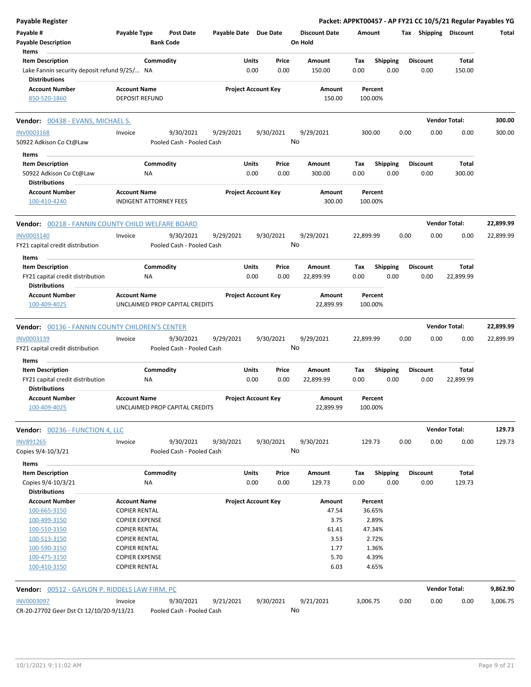| Payable Register                                                                    |                                                       |                                        |                       |                                |                                 |                    |                         | Packet: APPKT00457 - AP FY21 CC 10/5/21 Regular Payables YG |                      |           |
|-------------------------------------------------------------------------------------|-------------------------------------------------------|----------------------------------------|-----------------------|--------------------------------|---------------------------------|--------------------|-------------------------|-------------------------------------------------------------|----------------------|-----------|
| Payable #<br><b>Payable Description</b>                                             | Payable Type                                          | <b>Post Date</b><br><b>Bank Code</b>   | Payable Date Due Date |                                | <b>Discount Date</b><br>On Hold | Amount             |                         | Tax Shipping Discount                                       |                      | Total     |
| Items<br><b>Item Description</b>                                                    | Commodity                                             |                                        |                       | Units<br>Price                 | Amount                          | Tax                | <b>Shipping</b>         | <b>Discount</b>                                             | Total                |           |
| Lake Fannin security deposit refund 9/25/ NA<br><b>Distributions</b>                |                                                       |                                        |                       | 0.00<br>0.00                   | 150.00                          | 0.00               | 0.00                    | 0.00                                                        | 150.00               |           |
| <b>Account Number</b><br>850-520-1860                                               | <b>Account Name</b><br><b>DEPOSIT REFUND</b>          |                                        |                       | <b>Project Account Key</b>     | Amount<br>150.00                | Percent<br>100.00% |                         |                                                             |                      |           |
| Vendor: 00438 - EVANS, MICHAEL S.                                                   |                                                       |                                        |                       |                                |                                 |                    |                         |                                                             | <b>Vendor Total:</b> | 300.00    |
| <b>INV0003168</b>                                                                   | Invoice                                               | 9/30/2021                              | 9/29/2021             | 9/30/2021                      | 9/29/2021                       | 300.00             |                         | 0.00<br>0.00                                                | 0.00                 | 300.00    |
| 50922 Adkison Co Ct@Law                                                             |                                                       | Pooled Cash - Pooled Cash              |                       |                                | No                              |                    |                         |                                                             |                      |           |
| Items                                                                               |                                                       |                                        |                       |                                |                                 |                    |                         |                                                             |                      |           |
| <b>Item Description</b>                                                             | Commodity                                             |                                        |                       | Units<br>Price                 | Amount                          | Tax                | <b>Shipping</b>         | <b>Discount</b>                                             | <b>Total</b>         |           |
| 50922 Adkison Co Ct@Law<br><b>Distributions</b>                                     | ΝA                                                    |                                        |                       | 0.00<br>0.00                   | 300.00                          | 0.00               | 0.00                    | 0.00                                                        | 300.00               |           |
| <b>Account Number</b><br>100-410-4240                                               | <b>Account Name</b><br><b>INDIGENT ATTORNEY FEES</b>  |                                        |                       | <b>Project Account Key</b>     | Amount<br>300.00                | Percent<br>100.00% |                         |                                                             |                      |           |
| Vendor: 00218 - FANNIN COUNTY CHILD WELFARE BOARD                                   |                                                       |                                        |                       |                                |                                 |                    |                         |                                                             | <b>Vendor Total:</b> | 22,899.99 |
| <b>INV0003140</b>                                                                   | Invoice                                               | 9/30/2021                              | 9/29/2021             | 9/30/2021                      | 9/29/2021                       | 22,899.99          |                         | 0.00<br>0.00                                                | 0.00                 | 22,899.99 |
| FY21 capital credit distribution                                                    |                                                       | Pooled Cash - Pooled Cash              |                       |                                | No                              |                    |                         |                                                             |                      |           |
| Items                                                                               |                                                       |                                        |                       |                                |                                 |                    |                         |                                                             |                      |           |
| <b>Item Description</b>                                                             | Commodity                                             |                                        |                       | Units<br>Price                 | Amount                          | Tax                | Shipping                | <b>Discount</b>                                             | <b>Total</b>         |           |
| FY21 capital credit distribution<br><b>Distributions</b>                            | ΝA                                                    |                                        |                       | 0.00<br>0.00                   | 22,899.99                       | 0.00               | 0.00                    | 0.00                                                        | 22,899.99            |           |
| <b>Account Number</b><br>100-409-4025                                               | <b>Account Name</b><br>UNCLAIMED PROP CAPITAL CREDITS |                                        |                       | <b>Project Account Key</b>     | Amount<br>22,899.99             | Percent<br>100.00% |                         |                                                             |                      |           |
| <b>Vendor: 00136 - FANNIN COUNTY CHILDREN'S CENTER</b>                              |                                                       |                                        |                       |                                |                                 |                    |                         |                                                             | <b>Vendor Total:</b> | 22,899.99 |
| INV0003139<br>FY21 capital credit distribution                                      | Invoice                                               | 9/30/2021<br>Pooled Cash - Pooled Cash | 9/29/2021             | 9/30/2021                      | 9/29/2021<br>No                 | 22,899.99          |                         | 0.00<br>0.00                                                | 0.00                 | 22,899.99 |
| Items                                                                               |                                                       |                                        |                       |                                |                                 |                    |                         |                                                             |                      |           |
| <b>Item Description</b><br>FY21 capital credit distribution<br><b>Distributions</b> | Commodity<br>ΝA                                       |                                        |                       | Units<br>Price<br>0.00<br>0.00 | Amount<br>22,899.99             | Tax<br>0.00        | <b>Shipping</b><br>0.00 | <b>Discount</b><br>0.00                                     | Total<br>22,899.99   |           |
| <b>Account Number</b><br>100-409-4025                                               | <b>Account Name</b><br>UNCLAIMED PROP CAPITAL CREDITS |                                        |                       | <b>Project Account Key</b>     | Amount<br>22,899.99             | Percent<br>100.00% |                         |                                                             |                      |           |
| Vendor: 00236 - FUNCTION 4, LLC                                                     |                                                       |                                        |                       |                                |                                 |                    |                         |                                                             | <b>Vendor Total:</b> | 129.73    |
| <b>INV891265</b><br>Copies 9/4-10/3/21                                              | Invoice                                               | 9/30/2021<br>Pooled Cash - Pooled Cash | 9/30/2021             | 9/30/2021                      | 9/30/2021<br>No                 | 129.73             |                         | 0.00<br>0.00                                                | 0.00                 | 129.73    |
| Items                                                                               |                                                       |                                        |                       |                                |                                 |                    |                         |                                                             |                      |           |
| <b>Item Description</b>                                                             | Commodity                                             |                                        |                       | Units<br>Price                 | Amount                          | Tax                | <b>Shipping</b>         | <b>Discount</b>                                             | Total                |           |
| Copies 9/4-10/3/21                                                                  | NA                                                    |                                        |                       | 0.00<br>0.00                   | 129.73                          | 0.00               | 0.00                    | 0.00                                                        | 129.73               |           |
| <b>Distributions</b>                                                                |                                                       |                                        |                       |                                |                                 |                    |                         |                                                             |                      |           |
| <b>Account Number</b><br>100-665-3150                                               | <b>Account Name</b>                                   |                                        |                       | <b>Project Account Key</b>     | Amount                          | Percent            |                         |                                                             |                      |           |
| 100-499-3150                                                                        | <b>COPIER RENTAL</b><br><b>COPIER EXPENSE</b>         |                                        |                       |                                | 47.54<br>3.75                   | 36.65%<br>2.89%    |                         |                                                             |                      |           |
|                                                                                     |                                                       |                                        |                       |                                |                                 |                    |                         |                                                             |                      |           |
| 100-510-3150                                                                        | <b>COPIER RENTAL</b>                                  |                                        |                       |                                | 61.41                           | 47.34%             |                         |                                                             |                      |           |
| 100-513-3150                                                                        | <b>COPIER RENTAL</b>                                  |                                        |                       |                                | 3.53                            | 2.72%              |                         |                                                             |                      |           |
| 100-590-3150                                                                        | <b>COPIER RENTAL</b>                                  |                                        |                       |                                | 1.77                            | 1.36%              |                         |                                                             |                      |           |
| 100-475-3150<br>100-410-3150                                                        | <b>COPIER EXPENSE</b><br><b>COPIER RENTAL</b>         |                                        |                       |                                | 5.70<br>6.03                    | 4.39%<br>4.65%     |                         |                                                             |                      |           |
|                                                                                     |                                                       |                                        |                       |                                |                                 |                    |                         |                                                             |                      |           |
| <b>Vendor:</b> 00512 - GAYLON P. RIDDELS LAW FIRM, PC                               |                                                       |                                        |                       |                                |                                 |                    |                         |                                                             | <b>Vendor Total:</b> | 9,862.90  |
| <b>INV0003097</b><br>CR-20-27702 Geer Dst Ct 12/10/20-9/13/21                       | Invoice                                               | 9/30/2021<br>Pooled Cash - Pooled Cash | 9/21/2021             | 9/30/2021                      | 9/21/2021<br>No                 | 3,006.75           |                         | 0.00<br>0.00                                                | 0.00                 | 3,006.75  |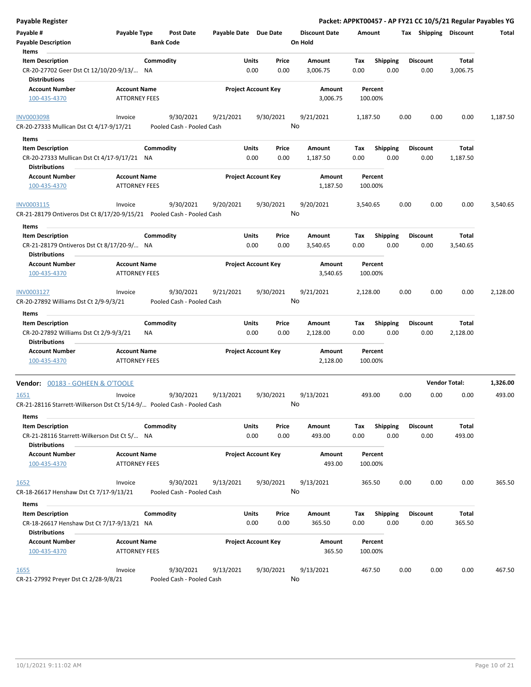| Payable Register                                                                               |                                             |                                        |                       |                            |               |                                 |                    |                         |      |                         |                      | Packet: APPKT00457 - AP FY21 CC 10/5/21 Regular Payables YG |
|------------------------------------------------------------------------------------------------|---------------------------------------------|----------------------------------------|-----------------------|----------------------------|---------------|---------------------------------|--------------------|-------------------------|------|-------------------------|----------------------|-------------------------------------------------------------|
| Payable #<br><b>Payable Description</b>                                                        | Payable Type                                | <b>Post Date</b><br><b>Bank Code</b>   | Payable Date Due Date |                            |               | <b>Discount Date</b><br>On Hold | Amount             |                         |      | Tax Shipping Discount   |                      | Total                                                       |
| Items<br><b>Item Description</b><br>CR-20-27702 Geer Dst Ct 12/10/20-9/13/ NA                  |                                             | Commodity                              |                       | Units<br>0.00              | Price<br>0.00 | Amount<br>3,006.75              | Tax<br>0.00        | <b>Shipping</b><br>0.00 |      | <b>Discount</b><br>0.00 | Total<br>3,006.75    |                                                             |
| <b>Distributions</b><br><b>Account Number</b><br>100-435-4370                                  | <b>Account Name</b><br><b>ATTORNEY FEES</b> |                                        |                       | <b>Project Account Key</b> |               | Amount<br>3,006.75              | Percent<br>100.00% |                         |      |                         |                      |                                                             |
| <b>INV0003098</b>                                                                              | Invoice                                     | 9/30/2021                              | 9/21/2021             |                            | 9/30/2021     | 9/21/2021                       | 1,187.50           |                         | 0.00 | 0.00                    | 0.00                 | 1,187.50                                                    |
| CR-20-27333 Mullican Dst Ct 4/17-9/17/21                                                       |                                             | Pooled Cash - Pooled Cash              |                       |                            |               | No                              |                    |                         |      |                         |                      |                                                             |
| Items                                                                                          |                                             |                                        |                       |                            |               |                                 |                    |                         |      |                         |                      |                                                             |
| <b>Item Description</b><br>CR-20-27333 Mullican Dst Ct 4/17-9/17/21 NA<br><b>Distributions</b> |                                             | Commodity                              |                       | Units<br>0.00              | Price<br>0.00 | Amount<br>1,187.50              | Tax<br>0.00        | <b>Shipping</b><br>0.00 |      | <b>Discount</b><br>0.00 | Total<br>1,187.50    |                                                             |
| <b>Account Number</b><br>100-435-4370                                                          | <b>Account Name</b><br><b>ATTORNEY FEES</b> |                                        |                       | <b>Project Account Key</b> |               | Amount<br>1,187.50              | Percent<br>100.00% |                         |      |                         |                      |                                                             |
| INV0003115<br>CR-21-28179 Ontiveros Dst Ct 8/17/20-9/15/21    Pooled Cash - Pooled Cash        | Invoice                                     | 9/30/2021                              | 9/20/2021             |                            | 9/30/2021     | 9/20/2021<br>No                 | 3,540.65           |                         | 0.00 | 0.00                    | 0.00                 | 3,540.65                                                    |
| Items                                                                                          |                                             |                                        |                       |                            |               |                                 |                    |                         |      |                         |                      |                                                             |
| <b>Item Description</b>                                                                        |                                             | Commodity                              |                       | Units                      | Price         | Amount                          | Tax                | Shipping                |      | <b>Discount</b>         | Total                |                                                             |
| CR-21-28179 Ontiveros Dst Ct 8/17/20-9/ NA                                                     |                                             |                                        |                       | 0.00                       | 0.00          | 3,540.65                        | 0.00               | 0.00                    |      | 0.00                    | 3,540.65             |                                                             |
| <b>Distributions</b>                                                                           |                                             |                                        |                       |                            |               |                                 |                    |                         |      |                         |                      |                                                             |
| <b>Account Number</b><br>100-435-4370                                                          | <b>Account Name</b><br><b>ATTORNEY FEES</b> |                                        |                       | <b>Project Account Key</b> |               | Amount<br>3,540.65              | Percent<br>100.00% |                         |      |                         |                      |                                                             |
| INV0003127<br>CR-20-27892 Williams Dst Ct 2/9-9/3/21                                           | Invoice                                     | 9/30/2021<br>Pooled Cash - Pooled Cash | 9/21/2021             |                            | 9/30/2021     | 9/21/2021<br>No                 | 2,128.00           |                         | 0.00 | 0.00                    | 0.00                 | 2,128.00                                                    |
| Items                                                                                          |                                             |                                        |                       |                            |               |                                 |                    |                         |      |                         |                      |                                                             |
| <b>Item Description</b><br>CR-20-27892 Williams Dst Ct 2/9-9/3/21                              | ΝA                                          | Commodity                              |                       | Units<br>0.00              | Price<br>0.00 | Amount<br>2,128.00              | Тах<br>0.00        | <b>Shipping</b><br>0.00 |      | <b>Discount</b><br>0.00 | Total<br>2,128.00    |                                                             |
| <b>Distributions</b><br><b>Account Number</b><br>100-435-4370                                  | <b>Account Name</b><br><b>ATTORNEY FEES</b> |                                        |                       | <b>Project Account Key</b> |               | Amount<br>2,128.00              | Percent<br>100.00% |                         |      |                         |                      |                                                             |
| Vendor: 00183 - GOHEEN & O'TOOLE                                                               |                                             |                                        |                       |                            |               |                                 |                    |                         |      |                         | <b>Vendor Total:</b> | 1,326.00                                                    |
| <u>1651</u><br>CR-21-28116 Starrett-Wilkerson Dst Ct 5/14-9/ Pooled Cash - Pooled Cash         | Invoice                                     | 9/30/2021                              | 9/13/2021             |                            | 9/30/2021     | 9/13/2021<br>No                 | 493.00             |                         | 0.00 | 0.00                    | 0.00                 | 493.00                                                      |
| Items<br><b>Item Description</b>                                                               |                                             | Commodity                              |                       | Units                      | Price         | Amount                          | Tax                | <b>Shipping</b>         |      | <b>Discount</b>         | Total                |                                                             |
| CR-21-28116 Starrett-Wilkerson Dst Ct 5/ NA<br><b>Distributions</b>                            |                                             |                                        |                       | 0.00                       | 0.00          | 493.00                          | 0.00               | 0.00                    |      | 0.00                    | 493.00               |                                                             |
| <b>Account Number</b><br>100-435-4370                                                          | <b>Account Name</b><br><b>ATTORNEY FEES</b> |                                        |                       | <b>Project Account Key</b> |               | Amount<br>493.00                | Percent<br>100.00% |                         |      |                         |                      |                                                             |
| 1652<br>CR-18-26617 Henshaw Dst Ct 7/17-9/13/21                                                | Invoice                                     | 9/30/2021<br>Pooled Cash - Pooled Cash | 9/13/2021             |                            | 9/30/2021     | 9/13/2021<br>No                 | 365.50             |                         | 0.00 | 0.00                    | 0.00                 | 365.50                                                      |
| Items                                                                                          |                                             |                                        |                       |                            |               |                                 |                    |                         |      |                         |                      |                                                             |
| <b>Item Description</b><br>CR-18-26617 Henshaw Dst Ct 7/17-9/13/21 NA                          |                                             | Commodity                              |                       | Units<br>0.00              | Price<br>0.00 | Amount<br>365.50                | Tax<br>0.00        | <b>Shipping</b><br>0.00 |      | <b>Discount</b><br>0.00 | Total<br>365.50      |                                                             |
| <b>Distributions</b><br><b>Account Number</b><br>100-435-4370                                  | <b>Account Name</b><br><b>ATTORNEY FEES</b> |                                        |                       | <b>Project Account Key</b> |               | Amount<br>365.50                | Percent<br>100.00% |                         |      |                         |                      |                                                             |
| <u>1655</u><br>CR-21-27992 Preyer Dst Ct 2/28-9/8/21                                           | Invoice                                     | 9/30/2021<br>Pooled Cash - Pooled Cash | 9/13/2021             |                            | 9/30/2021     | 9/13/2021<br>No                 | 467.50             |                         | 0.00 | 0.00                    | 0.00                 | 467.50                                                      |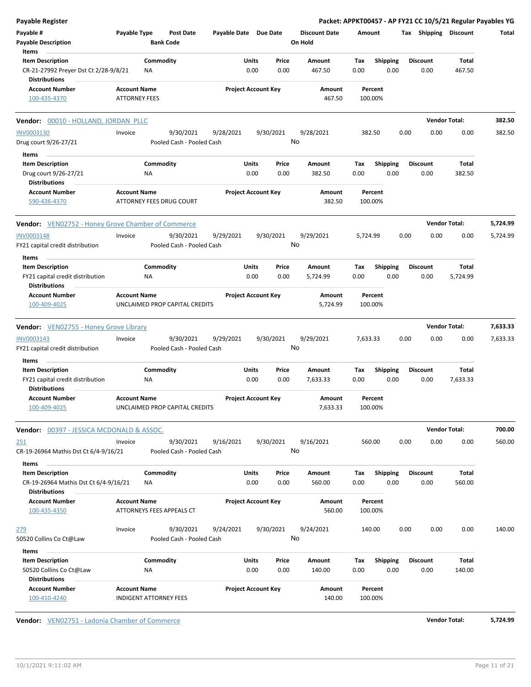| Payable Register                                     |                      |                                |                       |                            |                      |          |                 |      |                 | Packet: APPKT00457 - AP FY21 CC 10/5/21 Regular Payables YG |          |
|------------------------------------------------------|----------------------|--------------------------------|-----------------------|----------------------------|----------------------|----------|-----------------|------|-----------------|-------------------------------------------------------------|----------|
| Payable #                                            | Payable Type         | <b>Post Date</b>               | Payable Date Due Date |                            | <b>Discount Date</b> | Amount   |                 |      |                 | Tax Shipping Discount                                       | Total    |
| <b>Payable Description</b>                           |                      | <b>Bank Code</b>               |                       |                            | On Hold              |          |                 |      |                 |                                                             |          |
| Items                                                |                      |                                |                       |                            |                      |          |                 |      |                 |                                                             |          |
| <b>Item Description</b>                              |                      | Commodity                      |                       | Units<br>Price             | Amount               | Tax      | <b>Shipping</b> |      | <b>Discount</b> | Total                                                       |          |
| CR-21-27992 Preyer Dst Ct 2/28-9/8/21                | <b>NA</b>            |                                |                       | 0.00<br>0.00               | 467.50               | 0.00     | 0.00            |      | 0.00            | 467.50                                                      |          |
| <b>Distributions</b>                                 |                      |                                |                       |                            |                      |          |                 |      |                 |                                                             |          |
| <b>Account Number</b>                                | <b>Account Name</b>  |                                |                       | <b>Project Account Key</b> | Amount               | Percent  |                 |      |                 |                                                             |          |
| 100-435-4370                                         | <b>ATTORNEY FEES</b> |                                |                       |                            | 467.50               | 100.00%  |                 |      |                 |                                                             |          |
| Vendor: 00010 - HOLLAND, JORDAN PLLC                 |                      |                                |                       |                            |                      |          |                 |      |                 | <b>Vendor Total:</b>                                        | 382.50   |
|                                                      |                      |                                |                       |                            |                      |          |                 |      |                 |                                                             |          |
| <b>INV0003130</b>                                    | Invoice              | 9/30/2021                      | 9/28/2021             | 9/30/2021                  | 9/28/2021            | 382.50   |                 | 0.00 | 0.00            | 0.00                                                        | 382.50   |
| Drug court 9/26-27/21                                |                      | Pooled Cash - Pooled Cash      |                       |                            | No                   |          |                 |      |                 |                                                             |          |
| Items                                                |                      |                                |                       |                            |                      |          |                 |      |                 |                                                             |          |
| <b>Item Description</b>                              |                      | Commodity                      |                       | Units<br>Price             | Amount               | Tax      | <b>Shipping</b> |      | <b>Discount</b> | Total                                                       |          |
| Drug court 9/26-27/21                                | ΝA                   |                                |                       | 0.00<br>0.00               | 382.50               | 0.00     | 0.00            |      | 0.00            | 382.50                                                      |          |
| <b>Distributions</b>                                 |                      |                                |                       |                            |                      |          |                 |      |                 |                                                             |          |
| <b>Account Number</b>                                | <b>Account Name</b>  |                                |                       | <b>Project Account Key</b> | Amount               | Percent  |                 |      |                 |                                                             |          |
| 590-436-4370                                         |                      | ATTORNEY FEES DRUG COURT       |                       |                            | 382.50               | 100.00%  |                 |      |                 |                                                             |          |
|                                                      |                      |                                |                       |                            |                      |          |                 |      |                 |                                                             |          |
| Vendor: VEN02752 - Honey Grove Chamber of Commerce   |                      |                                |                       |                            |                      |          |                 |      |                 | <b>Vendor Total:</b>                                        | 5,724.99 |
| <b>INV0003148</b>                                    | Invoice              | 9/30/2021                      | 9/29/2021             | 9/30/2021                  | 9/29/2021            | 5,724.99 |                 | 0.00 | 0.00            | 0.00                                                        | 5,724.99 |
| FY21 capital credit distribution                     |                      | Pooled Cash - Pooled Cash      |                       |                            | No                   |          |                 |      |                 |                                                             |          |
| Items                                                |                      |                                |                       |                            |                      |          |                 |      |                 |                                                             |          |
| <b>Item Description</b>                              |                      | Commodity                      |                       | Units<br>Price             | Amount               | Тах      | <b>Shipping</b> |      | <b>Discount</b> | Total                                                       |          |
| FY21 capital credit distribution                     | ΝA                   |                                |                       | 0.00<br>0.00               | 5,724.99             | 0.00     | 0.00            |      | 0.00            | 5,724.99                                                    |          |
| <b>Distributions</b>                                 |                      |                                |                       |                            |                      |          |                 |      |                 |                                                             |          |
| <b>Account Number</b>                                | <b>Account Name</b>  |                                |                       | <b>Project Account Key</b> | Amount               | Percent  |                 |      |                 |                                                             |          |
| 100-409-4025                                         |                      | UNCLAIMED PROP CAPITAL CREDITS |                       |                            | 5,724.99             | 100.00%  |                 |      |                 |                                                             |          |
|                                                      |                      |                                |                       |                            |                      |          |                 |      |                 |                                                             |          |
| Vendor: VEN02755 - Honey Grove Library               |                      |                                |                       |                            |                      |          |                 |      |                 | <b>Vendor Total:</b>                                        | 7,633.33 |
| INV0003143                                           | Invoice              | 9/30/2021                      | 9/29/2021             | 9/30/2021                  | 9/29/2021            | 7,633.33 |                 | 0.00 | 0.00            | 0.00                                                        | 7,633.33 |
| FY21 capital credit distribution                     |                      | Pooled Cash - Pooled Cash      |                       |                            | No                   |          |                 |      |                 |                                                             |          |
|                                                      |                      |                                |                       |                            |                      |          |                 |      |                 |                                                             |          |
| Items                                                |                      |                                |                       |                            |                      |          |                 |      |                 |                                                             |          |
| <b>Item Description</b>                              |                      | Commodity                      |                       | Units<br>Price             | Amount               | Tax      | <b>Shipping</b> |      | <b>Discount</b> | Total                                                       |          |
| FY21 capital credit distribution                     | ΝA                   |                                |                       | 0.00<br>0.00               | 7,633.33             | 0.00     | 0.00            |      | 0.00            | 7,633.33                                                    |          |
| <b>Distributions</b>                                 |                      |                                |                       |                            |                      |          |                 |      |                 |                                                             |          |
| <b>Account Number</b>                                | <b>Account Name</b>  |                                |                       | <b>Project Account Key</b> | Amount               | Percent  |                 |      |                 |                                                             |          |
| 100-409-4025                                         |                      | UNCLAIMED PROP CAPITAL CREDITS |                       |                            | 7,633.33             | 100.00%  |                 |      |                 |                                                             |          |
|                                                      |                      |                                |                       |                            |                      |          |                 |      |                 |                                                             |          |
| <b>Vendor: 00397 - JESSICA MCDONALD &amp; ASSOC.</b> |                      |                                |                       |                            |                      |          |                 |      |                 | <b>Vendor Total:</b>                                        | 700.00   |
| 251                                                  | Invoice              | 9/30/2021                      | 9/16/2021             | 9/30/2021                  | 9/16/2021            | 560.00   |                 | 0.00 | 0.00            | 0.00                                                        | 560.00   |
| CR-19-26964 Mathis Dst Ct 6/4-9/16/21                |                      | Pooled Cash - Pooled Cash      |                       |                            | No                   |          |                 |      |                 |                                                             |          |
| Items                                                |                      |                                |                       |                            |                      |          |                 |      |                 |                                                             |          |
| <b>Item Description</b>                              |                      | Commodity                      |                       | Units<br>Price             | Amount               | Tax      | <b>Shipping</b> |      | <b>Discount</b> | Total                                                       |          |
| CR-19-26964 Mathis Dst Ct 6/4-9/16/21                | ΝA                   |                                |                       | 0.00<br>0.00               | 560.00               | 0.00     | 0.00            |      | 0.00            | 560.00                                                      |          |
| <b>Distributions</b>                                 |                      |                                |                       |                            |                      |          |                 |      |                 |                                                             |          |
| <b>Account Number</b>                                | <b>Account Name</b>  |                                |                       | <b>Project Account Key</b> | Amount               | Percent  |                 |      |                 |                                                             |          |
| 100-435-4350                                         |                      | ATTORNEYS FEES APPEALS CT      |                       |                            | 560.00               | 100.00%  |                 |      |                 |                                                             |          |
|                                                      |                      |                                |                       |                            |                      |          |                 |      |                 |                                                             |          |
| 279                                                  | Invoice              | 9/30/2021                      | 9/24/2021             | 9/30/2021                  | 9/24/2021            | 140.00   |                 | 0.00 | 0.00            | 0.00                                                        | 140.00   |
| 50520 Collins Co Ct@Law                              |                      | Pooled Cash - Pooled Cash      |                       |                            | No                   |          |                 |      |                 |                                                             |          |
| Items                                                |                      |                                |                       |                            |                      |          |                 |      |                 |                                                             |          |
| <b>Item Description</b>                              |                      | Commodity                      |                       | Units<br>Price             | Amount               | Tax      | <b>Shipping</b> |      | <b>Discount</b> | Total                                                       |          |
| 50520 Collins Co Ct@Law                              | NA                   |                                |                       | 0.00<br>0.00               | 140.00               | 0.00     | 0.00            |      | 0.00            | 140.00                                                      |          |
| <b>Distributions</b>                                 |                      |                                |                       |                            |                      |          |                 |      |                 |                                                             |          |
| <b>Account Number</b>                                | <b>Account Name</b>  |                                |                       | <b>Project Account Key</b> | Amount               | Percent  |                 |      |                 |                                                             |          |
| 100-410-4240                                         |                      | <b>INDIGENT ATTORNEY FEES</b>  |                       |                            | 140.00               | 100.00%  |                 |      |                 |                                                             |          |
|                                                      |                      |                                |                       |                            |                      |          |                 |      |                 |                                                             |          |

**Vendor:**  $VEN02751 - Ladonia Chamber of Commerce 5,724.99$ </u>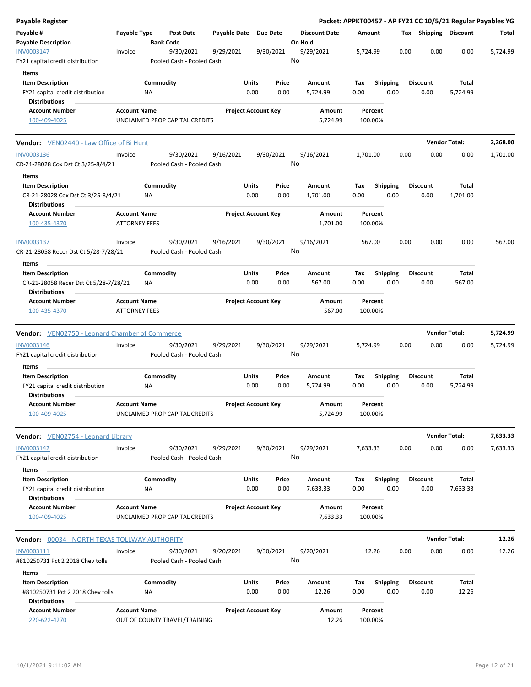| Payable Register                                                                               |                                             |                  |                                        |                       |                            |               |                                 |             |                    |      |      |                         |                      | Packet: APPKT00457 - AP FY21 CC 10/5/21 Regular Payables YG |
|------------------------------------------------------------------------------------------------|---------------------------------------------|------------------|----------------------------------------|-----------------------|----------------------------|---------------|---------------------------------|-------------|--------------------|------|------|-------------------------|----------------------|-------------------------------------------------------------|
| Payable #<br><b>Payable Description</b>                                                        | Payable Type                                | <b>Bank Code</b> | Post Date                              | Payable Date Due Date |                            |               | <b>Discount Date</b><br>On Hold | Amount      |                    |      |      | Tax Shipping Discount   |                      | Total                                                       |
| INV0003147<br>FY21 capital credit distribution                                                 | Invoice                                     |                  | 9/30/2021<br>Pooled Cash - Pooled Cash | 9/29/2021             | 9/30/2021                  |               | 9/29/2021<br>No                 | 5,724.99    |                    |      | 0.00 | 0.00                    | 0.00                 | 5,724.99                                                    |
| Items<br><b>Item Description</b><br>FY21 capital credit distribution<br><b>Distributions</b>   |                                             | Commodity<br>ΝA  |                                        |                       | Units<br>0.00              | Price<br>0.00 | Amount<br>5,724.99              | Tax<br>0.00 | Shipping           | 0.00 |      | <b>Discount</b><br>0.00 | Total<br>5,724.99    |                                                             |
| <b>Account Number</b><br>100-409-4025                                                          | <b>Account Name</b>                         |                  | UNCLAIMED PROP CAPITAL CREDITS         |                       | <b>Project Account Key</b> |               | Amount<br>5,724.99              |             | Percent<br>100.00% |      |      |                         |                      |                                                             |
| <b>Vendor:</b> VEN02440 - Law Office of Bi Hunt                                                |                                             |                  |                                        |                       |                            |               |                                 |             |                    |      |      | <b>Vendor Total:</b>    |                      | 2,268.00                                                    |
| INV0003136<br>CR-21-28028 Cox Dst Ct 3/25-8/4/21                                               | Invoice                                     |                  | 9/30/2021<br>Pooled Cash - Pooled Cash | 9/16/2021             | 9/30/2021                  |               | 9/16/2021<br>No                 | 1,701.00    |                    |      | 0.00 | 0.00                    | 0.00                 | 1,701.00                                                    |
| Items<br><b>Item Description</b><br>CR-21-28028 Cox Dst Ct 3/25-8/4/21<br><b>Distributions</b> |                                             | Commodity<br>ΝA  |                                        |                       | Units<br>0.00              | Price<br>0.00 | Amount<br>1,701.00              | Tax<br>0.00 | <b>Shipping</b>    | 0.00 |      | <b>Discount</b><br>0.00 | Total<br>1,701.00    |                                                             |
| <b>Account Number</b><br>100-435-4370                                                          | <b>Account Name</b><br><b>ATTORNEY FEES</b> |                  |                                        |                       | <b>Project Account Key</b> |               | Amount<br>1,701.00              |             | Percent<br>100.00% |      |      |                         |                      |                                                             |
| INV0003137<br>CR-21-28058 Recer Dst Ct 5/28-7/28/21<br>Items                                   | Invoice                                     |                  | 9/30/2021<br>Pooled Cash - Pooled Cash | 9/16/2021             | 9/30/2021                  |               | 9/16/2021<br>No                 | 567.00      |                    |      | 0.00 | 0.00                    | 0.00                 | 567.00                                                      |
| <b>Item Description</b><br>CR-21-28058 Recer Dst Ct 5/28-7/28/21<br><b>Distributions</b>       |                                             | Commodity<br>ΝA  |                                        |                       | Units<br>0.00              | Price<br>0.00 | Amount<br>567.00                | Tax<br>0.00 | <b>Shipping</b>    | 0.00 |      | <b>Discount</b><br>0.00 | Total<br>567.00      |                                                             |
| <b>Account Number</b><br>100-435-4370                                                          | <b>Account Name</b><br><b>ATTORNEY FEES</b> |                  |                                        |                       | <b>Project Account Key</b> |               | Amount<br>567.00                |             | Percent<br>100.00% |      |      |                         |                      |                                                             |
| <b>Vendor:</b> VEN02750 - Leonard Chamber of Commerce                                          |                                             |                  |                                        |                       |                            |               |                                 |             |                    |      |      | <b>Vendor Total:</b>    |                      | 5,724.99                                                    |
| <b>INV0003146</b><br>FY21 capital credit distribution                                          | Invoice                                     |                  | 9/30/2021<br>Pooled Cash - Pooled Cash | 9/29/2021             | 9/30/2021                  |               | 9/29/2021<br>No                 | 5,724.99    |                    |      | 0.00 | 0.00                    | 0.00                 | 5,724.99                                                    |
| Items<br><b>Item Description</b>                                                               |                                             | Commodity        |                                        |                       | Units                      | Price         | Amount                          | Tax         | <b>Shipping</b>    |      |      | <b>Discount</b>         | Total                |                                                             |
| FY21 capital credit distribution<br><b>Distributions</b>                                       |                                             | <b>NA</b>        |                                        |                       | 0.00                       | 0.00          | 5,724.99                        | 0.00        |                    | 0.00 |      | 0.00                    | 5,724.99             |                                                             |
| <b>Account Number</b><br>100-409-4025                                                          | <b>Account Name</b>                         |                  | UNCLAIMED PROP CAPITAL CREDITS         |                       | <b>Project Account Key</b> |               | Amount<br>5,724.99              |             | Percent<br>100.00% |      |      |                         |                      |                                                             |
| Vendor: VEN02754 - Leonard Library                                                             |                                             |                  |                                        |                       |                            |               |                                 |             |                    |      |      |                         | <b>Vendor Total:</b> | 7,633.33                                                    |
| <b>INV0003142</b><br>FY21 capital credit distribution                                          | Invoice                                     |                  | 9/30/2021<br>Pooled Cash - Pooled Cash | 9/29/2021             | 9/30/2021                  |               | 9/29/2021<br>No                 | 7,633.33    |                    |      | 0.00 | 0.00                    | 0.00                 | 7,633.33                                                    |
| Items<br><b>Item Description</b><br>FY21 capital credit distribution<br><b>Distributions</b>   |                                             | Commodity<br>NA  |                                        |                       | Units<br>0.00              | Price<br>0.00 | Amount<br>7,633.33              | Tax<br>0.00 | Shipping           | 0.00 |      | <b>Discount</b><br>0.00 | Total<br>7,633.33    |                                                             |
| <b>Account Number</b><br>100-409-4025                                                          | <b>Account Name</b>                         |                  | UNCLAIMED PROP CAPITAL CREDITS         |                       | <b>Project Account Key</b> |               | Amount<br>7,633.33              |             | Percent<br>100.00% |      |      |                         |                      |                                                             |
| <b>Vendor:</b> 00034 - NORTH TEXAS TOLLWAY AUTHORITY                                           |                                             |                  |                                        |                       |                            |               |                                 |             |                    |      |      |                         | <b>Vendor Total:</b> | 12.26                                                       |
| INV0003111<br>#810250731 Pct 2 2018 Chev tolls                                                 | Invoice                                     |                  | 9/30/2021<br>Pooled Cash - Pooled Cash | 9/20/2021             | 9/30/2021                  |               | 9/20/2021<br>No                 |             | 12.26              |      | 0.00 | 0.00                    | 0.00                 | 12.26                                                       |
| Items<br><b>Item Description</b><br>#810250731 Pct 2 2018 Chev tolls<br><b>Distributions</b>   |                                             | Commodity<br>ΝA  |                                        |                       | Units<br>0.00              | Price<br>0.00 | Amount<br>12.26                 | Tax<br>0.00 | <b>Shipping</b>    | 0.00 |      | <b>Discount</b><br>0.00 | Total<br>12.26       |                                                             |
| <b>Account Number</b><br>220-622-4270                                                          | <b>Account Name</b>                         |                  | OUT OF COUNTY TRAVEL/TRAINING          |                       | <b>Project Account Key</b> |               | Amount<br>12.26                 |             | Percent<br>100.00% |      |      |                         |                      |                                                             |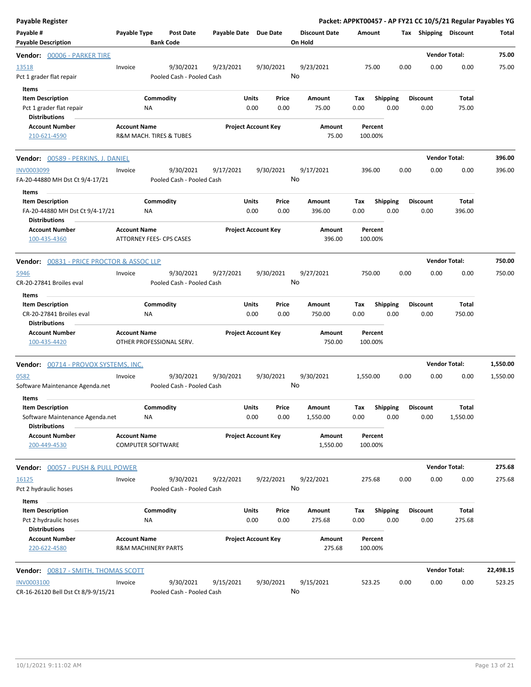| <b>Payable Register</b>                                                                     |                                                 |                                        |                       |                                |                                 | Packet: APPKT00457 - AP FY21 CC 10/5/21 Regular Payables YG |                         |                         |                      |           |
|---------------------------------------------------------------------------------------------|-------------------------------------------------|----------------------------------------|-----------------------|--------------------------------|---------------------------------|-------------------------------------------------------------|-------------------------|-------------------------|----------------------|-----------|
| Payable #<br><b>Payable Description</b>                                                     | Payable Type                                    | Post Date<br><b>Bank Code</b>          | Payable Date Due Date |                                | <b>Discount Date</b><br>On Hold | Amount                                                      |                         | Tax Shipping Discount   |                      | Total     |
| Vendor: 00006 - PARKER TIRE                                                                 |                                                 |                                        |                       |                                |                                 |                                                             |                         |                         | <b>Vendor Total:</b> | 75.00     |
| 13518<br>Pct 1 grader flat repair                                                           | Invoice                                         | 9/30/2021<br>Pooled Cash - Pooled Cash | 9/23/2021             | 9/30/2021                      | 9/23/2021<br>No                 | 75.00                                                       | 0.00                    | 0.00                    | 0.00                 | 75.00     |
| Items<br><b>Item Description</b><br>Pct 1 grader flat repair<br><b>Distributions</b>        | ΝA                                              | Commodity                              |                       | Units<br>Price<br>0.00<br>0.00 | Amount<br>75.00                 | Тах<br>0.00                                                 | Shipping<br>0.00        | <b>Discount</b><br>0.00 | Total<br>75.00       |           |
| <b>Account Number</b><br>210-621-4590                                                       | <b>Account Name</b>                             | R&M MACH. TIRES & TUBES                |                       | <b>Project Account Key</b>     | <b>Amount</b><br>75.00          | Percent<br>100.00%                                          |                         |                         |                      |           |
| Vendor: 00589 - PERKINS, J. DANIEL                                                          |                                                 |                                        |                       |                                |                                 |                                                             |                         |                         | <b>Vendor Total:</b> | 396.00    |
| INV0003099<br>FA-20-44880 MH Dst Ct 9/4-17/21                                               | Invoice                                         | 9/30/2021<br>Pooled Cash - Pooled Cash | 9/17/2021             | 9/30/2021                      | 9/17/2021<br>No                 | 396.00                                                      | 0.00                    | 0.00                    | 0.00                 | 396.00    |
| Items<br><b>Item Description</b><br>FA-20-44880 MH Dst Ct 9/4-17/21<br><b>Distributions</b> | ΝA                                              | Commodity                              |                       | Units<br>Price<br>0.00<br>0.00 | Amount<br>396.00                | Tax<br>0.00                                                 | <b>Shipping</b><br>0.00 | <b>Discount</b><br>0.00 | Total<br>396.00      |           |
| <b>Account Number</b><br>100-435-4360                                                       | <b>Account Name</b>                             | <b>ATTORNEY FEES- CPS CASES</b>        |                       | <b>Project Account Key</b>     | Amount<br>396.00                | Percent<br>100.00%                                          |                         |                         |                      |           |
| Vendor: 00831 - PRICE PROCTOR & ASSOC LLP                                                   |                                                 |                                        |                       |                                |                                 |                                                             |                         |                         | <b>Vendor Total:</b> | 750.00    |
| 5946<br>CR-20-27841 Broiles eval                                                            | Invoice                                         | 9/30/2021<br>Pooled Cash - Pooled Cash | 9/27/2021             | 9/30/2021                      | 9/27/2021<br>No                 | 750.00                                                      | 0.00                    | 0.00                    | 0.00                 | 750.00    |
| Items<br><b>Item Description</b>                                                            |                                                 | Commodity                              |                       | Units<br>Price                 | Amount                          | Tax                                                         | <b>Shipping</b>         | <b>Discount</b>         | Total                |           |
| CR-20-27841 Broiles eval<br><b>Distributions</b>                                            | NA                                              |                                        |                       | 0.00<br>0.00                   | 750.00                          | 0.00                                                        | 0.00                    | 0.00                    | 750.00               |           |
| <b>Account Number</b><br>100-435-4420                                                       | <b>Account Name</b>                             | OTHER PROFESSIONAL SERV.               |                       | <b>Project Account Key</b>     | Amount<br>750.00                | Percent<br>100.00%                                          |                         |                         |                      |           |
| Vendor: 00714 - PROVOX SYSTEMS, INC.                                                        |                                                 |                                        |                       |                                |                                 |                                                             |                         |                         | <b>Vendor Total:</b> | 1,550.00  |
| 0582<br>Software Maintenance Agenda.net                                                     | Invoice                                         | 9/30/2021<br>Pooled Cash - Pooled Cash | 9/30/2021             | 9/30/2021                      | 9/30/2021<br>No                 | 1,550.00                                                    | 0.00                    | 0.00                    | 0.00                 | 1,550.00  |
| Items<br>Item Description<br>Software Maintenance Agenda.net<br><b>Distributions</b>        | ΝA                                              | Commodity                              |                       | Units<br>Price<br>0.00<br>0.00 | Amount<br>1,550.00              | Tax<br>0.00                                                 | Shipping<br>0.00        | <b>Discount</b><br>0.00 | Total<br>1,550.00    |           |
| <b>Account Number</b><br>200-449-4530                                                       | <b>Account Name</b><br><b>COMPUTER SOFTWARE</b> |                                        |                       | <b>Project Account Key</b>     | Amount<br>1,550.00              | Percent<br>100.00%                                          |                         |                         |                      |           |
| Vendor: 00057 - PUSH & PULL POWER                                                           |                                                 |                                        |                       |                                |                                 |                                                             |                         |                         | <b>Vendor Total:</b> | 275.68    |
| <u>16125</u><br>Pct 2 hydraulic hoses                                                       | Invoice                                         | 9/30/2021<br>Pooled Cash - Pooled Cash | 9/22/2021             | 9/22/2021                      | 9/22/2021<br>No                 | 275.68                                                      | 0.00                    | 0.00                    | 0.00                 | 275.68    |
| Items<br><b>Item Description</b>                                                            |                                                 | Commodity                              |                       | Units<br>Price                 | Amount                          | Tax                                                         | <b>Shipping</b>         | <b>Discount</b>         | Total                |           |
| Pct 2 hydraulic hoses<br><b>Distributions</b>                                               | ΝA                                              |                                        |                       | 0.00<br>0.00                   | 275.68                          | 0.00                                                        | 0.00                    | 0.00                    | 275.68               |           |
| <b>Account Number</b><br>220-622-4580                                                       | <b>Account Name</b>                             | R&M MACHINERY PARTS                    |                       | <b>Project Account Key</b>     | Amount<br>275.68                | Percent<br>100.00%                                          |                         |                         |                      |           |
| Vendor: 00817 - SMITH, THOMAS SCOTT                                                         |                                                 |                                        |                       |                                |                                 |                                                             |                         |                         | <b>Vendor Total:</b> | 22,498.15 |
| INV0003100<br>CR-16-26120 Bell Dst Ct 8/9-9/15/21                                           | Invoice                                         | 9/30/2021<br>Pooled Cash - Pooled Cash | 9/15/2021             | 9/30/2021                      | 9/15/2021<br>No                 | 523.25                                                      | 0.00                    | 0.00                    | 0.00                 | 523.25    |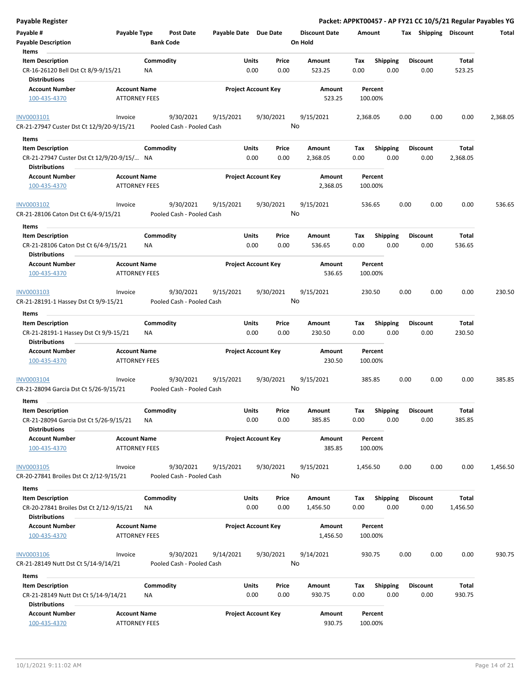| Payable Register                                                                        |                                             |                 |                                        |                       |               |                            |                      |             |                    |      |                         |          | Packet: APPKT00457 - AP FY21 CC 10/5/21 Regular Payables YG |
|-----------------------------------------------------------------------------------------|---------------------------------------------|-----------------|----------------------------------------|-----------------------|---------------|----------------------------|----------------------|-------------|--------------------|------|-------------------------|----------|-------------------------------------------------------------|
| Payable #                                                                               | Payable Type                                |                 | Post Date                              | Payable Date Due Date |               |                            | <b>Discount Date</b> |             | Amount             |      | Tax Shipping Discount   |          | Total                                                       |
| <b>Payable Description</b>                                                              |                                             |                 | <b>Bank Code</b>                       |                       |               |                            | On Hold              |             |                    |      |                         |          |                                                             |
| Items                                                                                   |                                             |                 |                                        |                       |               |                            |                      |             |                    |      |                         |          |                                                             |
| <b>Item Description</b><br>CR-16-26120 Bell Dst Ct 8/9-9/15/21                          |                                             | Commodity<br>ΝA |                                        |                       | Units<br>0.00 | Price<br>0.00              | Amount<br>523.25     | Tax<br>0.00 | <b>Shipping</b>    | 0.00 | <b>Discount</b><br>0.00 |          | Total<br>523.25                                             |
| <b>Distributions</b>                                                                    |                                             |                 |                                        |                       |               |                            |                      |             |                    |      |                         |          |                                                             |
| <b>Account Number</b><br>100-435-4370                                                   | <b>Account Name</b><br><b>ATTORNEY FEES</b> |                 |                                        |                       |               | <b>Project Account Key</b> | Amount<br>523.25     |             | Percent<br>100.00% |      |                         |          |                                                             |
| INV0003101                                                                              | Invoice                                     |                 | 9/30/2021                              | 9/15/2021             |               | 9/30/2021                  | 9/15/2021            |             | 2,368.05           |      | 0.00                    | 0.00     | 0.00<br>2,368.05                                            |
| CR-21-27947 Custer Dst Ct 12/9/20-9/15/21                                               |                                             |                 | Pooled Cash - Pooled Cash              |                       |               |                            | No                   |             |                    |      |                         |          |                                                             |
| Items                                                                                   |                                             |                 |                                        |                       |               |                            |                      |             |                    |      |                         |          |                                                             |
| <b>Item Description</b>                                                                 |                                             | Commodity       |                                        |                       | Units         | Price                      | Amount               | Tax         | <b>Shipping</b>    |      | <b>Discount</b>         |          | Total                                                       |
| CR-21-27947 Custer Dst Ct 12/9/20-9/15/ NA<br>Distributions                             |                                             |                 |                                        |                       | 0.00          | 0.00                       | 2,368.05             | 0.00        |                    | 0.00 | 0.00                    | 2,368.05 |                                                             |
| <b>Account Number</b>                                                                   | <b>Account Name</b>                         |                 |                                        |                       |               | <b>Project Account Key</b> | Amount               |             | Percent            |      |                         |          |                                                             |
| 100-435-4370                                                                            | ATTORNEY FEES                               |                 |                                        |                       |               |                            | 2,368.05             |             | 100.00%            |      |                         |          |                                                             |
| INV0003102<br>CR-21-28106 Caton Dst Ct 6/4-9/15/21                                      | Invoice                                     |                 | 9/30/2021<br>Pooled Cash - Pooled Cash | 9/15/2021             |               | 9/30/2021                  | 9/15/2021<br>No      |             | 536.65             |      | 0.00                    | 0.00     | 0.00<br>536.65                                              |
| Items                                                                                   |                                             |                 |                                        |                       |               |                            |                      |             |                    |      |                         |          |                                                             |
| <b>Item Description</b><br>CR-21-28106 Caton Dst Ct 6/4-9/15/21<br><b>Distributions</b> |                                             | Commodity<br>ΝA |                                        |                       | Units<br>0.00 | Price<br>0.00              | Amount<br>536.65     | Tax<br>0.00 | <b>Shipping</b>    | 0.00 | <b>Discount</b><br>0.00 |          | Total<br>536.65                                             |
| <b>Account Number</b>                                                                   | <b>Account Name</b>                         |                 |                                        |                       |               | <b>Project Account Key</b> | Amount               |             | Percent            |      |                         |          |                                                             |
| 100-435-4370                                                                            | <b>ATTORNEY FEES</b>                        |                 |                                        |                       |               |                            | 536.65               |             | 100.00%            |      |                         |          |                                                             |
| INV0003103                                                                              | Invoice                                     |                 | 9/30/2021                              | 9/15/2021             |               | 9/30/2021                  | 9/15/2021            |             | 230.50             |      | 0.00                    | 0.00     | 0.00<br>230.50                                              |
| CR-21-28191-1 Hassey Dst Ct 9/9-15/21                                                   |                                             |                 | Pooled Cash - Pooled Cash              |                       |               |                            | No                   |             |                    |      |                         |          |                                                             |
| Items                                                                                   |                                             |                 |                                        |                       |               |                            |                      |             |                    |      |                         |          |                                                             |
| <b>Item Description</b>                                                                 |                                             | Commodity       |                                        |                       | Units         | Price                      | Amount               | Tax         | <b>Shipping</b>    |      | <b>Discount</b>         |          | Total                                                       |
| CR-21-28191-1 Hassey Dst Ct 9/9-15/21<br><b>Distributions</b>                           |                                             | NA              |                                        |                       | 0.00          | 0.00                       | 230.50               | 0.00        |                    | 0.00 | 0.00                    |          | 230.50                                                      |
| <b>Account Number</b><br>100-435-4370                                                   | <b>Account Name</b><br><b>ATTORNEY FEES</b> |                 |                                        |                       |               | <b>Project Account Key</b> | Amount<br>230.50     |             | Percent<br>100.00% |      |                         |          |                                                             |
|                                                                                         |                                             |                 |                                        |                       |               |                            |                      |             |                    |      |                         |          |                                                             |
| INV0003104                                                                              | Invoice                                     |                 | 9/30/2021                              | 9/15/2021             |               | 9/30/2021                  | 9/15/2021            |             | 385.85             |      | 0.00                    | 0.00     | 0.00<br>385.85                                              |
| CR-21-28094 Garcia Dst Ct 5/26-9/15/21                                                  |                                             |                 | Pooled Cash - Pooled Cash              |                       |               |                            | No                   |             |                    |      |                         |          |                                                             |
| Items                                                                                   |                                             |                 |                                        |                       |               |                            |                      |             |                    |      |                         |          |                                                             |
| <b>Item Description</b>                                                                 |                                             | Commodity       |                                        |                       | Units         | Price                      | Amount               | Tax         | Shipping           |      | <b>Discount</b>         |          | <b>Total</b>                                                |
| CR-21-28094 Garcia Dst Ct 5/26-9/15/21<br><b>Distributions</b>                          |                                             | <b>NA</b>       |                                        |                       | 0.00          | 0.00                       | 385.85               | 0.00        |                    | 0.00 | 0.00                    |          | 385.85                                                      |
| <b>Account Number</b>                                                                   | <b>Account Name</b>                         |                 |                                        |                       |               | <b>Project Account Key</b> | Amount               |             | Percent            |      |                         |          |                                                             |
| 100-435-4370                                                                            | <b>ATTORNEY FEES</b>                        |                 |                                        |                       |               |                            | 385.85               |             | 100.00%            |      |                         |          |                                                             |
| <b>INV0003105</b>                                                                       | Invoice                                     |                 | 9/30/2021                              | 9/15/2021             |               | 9/30/2021                  | 9/15/2021            | 1,456.50    |                    |      | 0.00                    | 0.00     | 0.00<br>1,456.50                                            |
| CR-20-27841 Broiles Dst Ct 2/12-9/15/21                                                 |                                             |                 | Pooled Cash - Pooled Cash              |                       |               |                            | No                   |             |                    |      |                         |          |                                                             |
| Items                                                                                   |                                             |                 |                                        |                       |               |                            |                      |             |                    |      |                         |          |                                                             |
| <b>Item Description</b>                                                                 |                                             | Commodity       |                                        |                       | Units         | Price                      | Amount               | Tax         | <b>Shipping</b>    |      | <b>Discount</b>         |          | Total                                                       |
| CR-20-27841 Broiles Dst Ct 2/12-9/15/21<br><b>Distributions</b>                         |                                             | NA              |                                        |                       | 0.00          | 0.00                       | 1,456.50             | 0.00        |                    | 0.00 | 0.00                    | 1,456.50 |                                                             |
| <b>Account Number</b>                                                                   | <b>Account Name</b>                         |                 |                                        |                       |               | <b>Project Account Key</b> | Amount               |             | Percent            |      |                         |          |                                                             |
| 100-435-4370                                                                            | <b>ATTORNEY FEES</b>                        |                 |                                        |                       |               |                            | 1,456.50             |             | 100.00%            |      |                         |          |                                                             |
| <b>INV0003106</b><br>CR-21-28149 Nutt Dst Ct 5/14-9/14/21                               | Invoice                                     |                 | 9/30/2021<br>Pooled Cash - Pooled Cash | 9/14/2021             |               | 9/30/2021                  | 9/14/2021<br>No      |             | 930.75             |      | 0.00                    | 0.00     | 0.00<br>930.75                                              |
| Items                                                                                   |                                             |                 |                                        |                       |               |                            |                      |             |                    |      |                         |          |                                                             |
| <b>Item Description</b>                                                                 |                                             | Commodity       |                                        |                       | Units         | Price                      | Amount               | Tax         | Shipping           |      | <b>Discount</b>         |          | Total                                                       |
| CR-21-28149 Nutt Dst Ct 5/14-9/14/21<br><b>Distributions</b>                            |                                             | <b>NA</b>       |                                        |                       | 0.00          | 0.00                       | 930.75               | 0.00        |                    | 0.00 | 0.00                    |          | 930.75                                                      |
| <b>Account Number</b>                                                                   | <b>Account Name</b>                         |                 |                                        |                       |               | <b>Project Account Key</b> | Amount               |             | Percent            |      |                         |          |                                                             |
| 100-435-4370                                                                            | ATTORNEY FEES                               |                 |                                        |                       |               |                            | 930.75               |             | 100.00%            |      |                         |          |                                                             |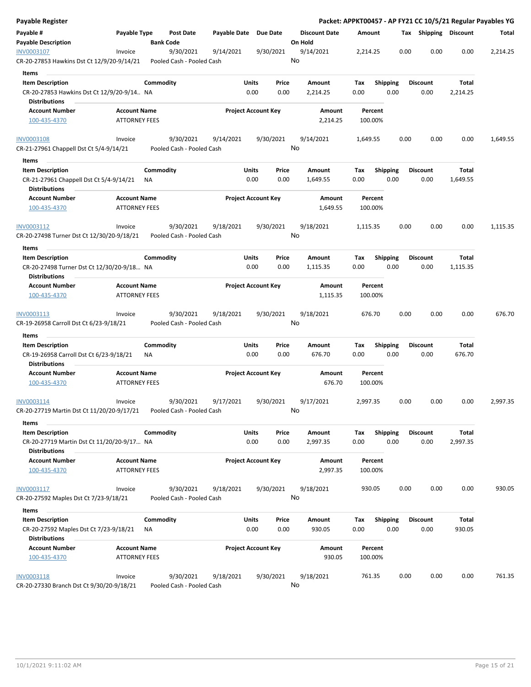| Payable Register                                                      |                                             |           |                                        |              |                            |                 |                                 |                    |                         |      |                         |                   | Packet: APPKT00457 - AP FY21 CC 10/5/21 Regular Payables YG |
|-----------------------------------------------------------------------|---------------------------------------------|-----------|----------------------------------------|--------------|----------------------------|-----------------|---------------------------------|--------------------|-------------------------|------|-------------------------|-------------------|-------------------------------------------------------------|
| Payable #<br><b>Payable Description</b>                               | Payable Type                                |           | Post Date<br><b>Bank Code</b>          | Payable Date |                            | <b>Due Date</b> | <b>Discount Date</b><br>On Hold | Amount             |                         |      | Tax Shipping Discount   |                   | Total                                                       |
| INV0003107                                                            | Invoice                                     |           | 9/30/2021                              | 9/14/2021    |                            | 9/30/2021       | 9/14/2021                       | 2,214.25           |                         | 0.00 | 0.00                    | 0.00              | 2,214.25                                                    |
| CR-20-27853 Hawkins Dst Ct 12/9/20-9/14/21                            |                                             |           | Pooled Cash - Pooled Cash              |              |                            |                 | No                              |                    |                         |      |                         |                   |                                                             |
| Items                                                                 |                                             |           |                                        |              |                            |                 |                                 |                    |                         |      |                         |                   |                                                             |
| <b>Item Description</b>                                               |                                             | Commodity |                                        |              | Units                      | Price           | Amount                          | Tax                | Shipping                |      | Discount                | Total             |                                                             |
| CR-20-27853 Hawkins Dst Ct 12/9/20-9/14 NA<br><b>Distributions</b>    |                                             |           |                                        |              | 0.00                       | 0.00            | 2,214.25                        | 0.00               | 0.00                    |      | 0.00                    | 2,214.25          |                                                             |
| <b>Account Number</b>                                                 | <b>Account Name</b>                         |           |                                        |              | <b>Project Account Key</b> |                 | Amount                          | Percent            |                         |      |                         |                   |                                                             |
| 100-435-4370                                                          | <b>ATTORNEY FEES</b>                        |           |                                        |              |                            |                 | 2,214.25                        | 100.00%            |                         |      |                         |                   |                                                             |
| <b>INV0003108</b>                                                     | Invoice                                     |           | 9/30/2021                              | 9/14/2021    |                            | 9/30/2021       | 9/14/2021                       | 1,649.55           |                         | 0.00 | 0.00                    | 0.00              | 1,649.55                                                    |
| CR-21-27961 Chappell Dst Ct 5/4-9/14/21                               |                                             |           | Pooled Cash - Pooled Cash              |              |                            |                 | No                              |                    |                         |      |                         |                   |                                                             |
| Items                                                                 |                                             |           |                                        |              |                            |                 |                                 |                    |                         |      |                         |                   |                                                             |
| <b>Item Description</b>                                               |                                             | Commodity |                                        |              | Units                      | Price           | Amount                          | Tax                | <b>Shipping</b>         |      | <b>Discount</b>         | Total             |                                                             |
| CR-21-27961 Chappell Dst Ct 5/4-9/14/21<br><b>Distributions</b>       |                                             | ΝA        |                                        |              | 0.00                       | 0.00            | 1,649.55                        | 0.00               | 0.00                    |      | 0.00                    | 1,649.55          |                                                             |
| <b>Account Number</b><br>100-435-4370                                 | <b>Account Name</b><br><b>ATTORNEY FEES</b> |           |                                        |              | <b>Project Account Key</b> |                 | Amount<br>1,649.55              | Percent<br>100.00% |                         |      |                         |                   |                                                             |
| INV0003112                                                            | Invoice                                     |           | 9/30/2021                              | 9/18/2021    |                            | 9/30/2021       | 9/18/2021                       | 1,115.35           |                         | 0.00 | 0.00                    | 0.00              | 1,115.35                                                    |
| CR-20-27498 Turner Dst Ct 12/30/20-9/18/21                            |                                             |           | Pooled Cash - Pooled Cash              |              |                            |                 | No                              |                    |                         |      |                         |                   |                                                             |
| Items                                                                 |                                             |           |                                        |              |                            |                 |                                 |                    |                         |      |                         |                   |                                                             |
| <b>Item Description</b>                                               |                                             | Commodity |                                        |              | Units                      | Price           | Amount                          | Tax                | <b>Shipping</b>         |      | <b>Discount</b>         | Total             |                                                             |
| CR-20-27498 Turner Dst Ct 12/30/20-9/18 NA<br><b>Distributions</b>    |                                             |           |                                        |              | 0.00                       | 0.00            | 1,115.35                        | 0.00               | 0.00                    |      | 0.00                    | 1,115.35          |                                                             |
| <b>Account Number</b>                                                 | <b>Account Name</b>                         |           |                                        |              | <b>Project Account Key</b> |                 | Amount                          | Percent            |                         |      |                         |                   |                                                             |
| 100-435-4370                                                          | <b>ATTORNEY FEES</b>                        |           |                                        |              |                            |                 | 1,115.35                        | 100.00%            |                         |      |                         |                   |                                                             |
| INV0003113<br>CR-19-26958 Carroll Dst Ct 6/23-9/18/21                 | Invoice                                     |           | 9/30/2021<br>Pooled Cash - Pooled Cash | 9/18/2021    |                            | 9/30/2021       | 9/18/2021<br>No                 | 676.70             |                         | 0.00 | 0.00                    | 0.00              | 676.70                                                      |
| Items                                                                 |                                             |           |                                        |              |                            |                 |                                 |                    |                         |      |                         |                   |                                                             |
| <b>Item Description</b>                                               |                                             | Commodity |                                        |              | Units                      | Price           | Amount                          | Tax                | <b>Shipping</b>         |      | <b>Discount</b>         | Total             |                                                             |
| CR-19-26958 Carroll Dst Ct 6/23-9/18/21<br><b>Distributions</b>       |                                             | ΝA        |                                        |              | 0.00                       | 0.00            | 676.70                          | 0.00               | 0.00                    |      | 0.00                    | 676.70            |                                                             |
| <b>Account Number</b>                                                 | <b>Account Name</b>                         |           |                                        |              | <b>Project Account Key</b> |                 | Amount                          | Percent            |                         |      |                         |                   |                                                             |
| 100-435-4370                                                          | <b>ATTORNEY FEES</b>                        |           |                                        |              |                            |                 | 676.70                          | 100.00%            |                         |      |                         |                   |                                                             |
| INV0003114                                                            | Invoice                                     |           | 9/30/2021                              | 9/17/2021    |                            | 9/30/2021       | 9/17/2021                       | 2,997.35           |                         | 0.00 | 0.00                    | 0.00              | 2,997.35                                                    |
| CR-20-27719 Martin Dst Ct 11/20/20-9/17/21                            |                                             |           | Pooled Cash - Pooled Cash              |              |                            |                 | No                              |                    |                         |      |                         |                   |                                                             |
| Items                                                                 |                                             |           |                                        |              |                            |                 |                                 |                    |                         |      |                         |                   |                                                             |
| <b>Item Description</b><br>CR-20-27719 Martin Dst Ct 11/20/20-9/17 NA |                                             | Commodity |                                        |              | Units<br>0.00              | Price<br>0.00   | Amount<br>2,997.35              | Tax<br>0.00        | <b>Shipping</b><br>0.00 |      | <b>Discount</b><br>0.00 | Total<br>2,997.35 |                                                             |
| <b>Distributions</b><br><b>Account Number</b>                         | <b>Account Name</b>                         |           |                                        |              | <b>Project Account Key</b> |                 | Amount                          | Percent            |                         |      |                         |                   |                                                             |
| 100-435-4370                                                          | <b>ATTORNEY FEES</b>                        |           |                                        |              |                            |                 | 2,997.35                        | 100.00%            |                         |      |                         |                   |                                                             |
| INV0003117                                                            | Invoice                                     |           | 9/30/2021                              | 9/18/2021    |                            | 9/30/2021       | 9/18/2021                       | 930.05             |                         | 0.00 | 0.00                    | 0.00              | 930.05                                                      |
| CR-20-27592 Maples Dst Ct 7/23-9/18/21                                |                                             |           | Pooled Cash - Pooled Cash              |              |                            |                 | No                              |                    |                         |      |                         |                   |                                                             |
| Items                                                                 |                                             |           |                                        |              |                            |                 |                                 |                    |                         |      |                         |                   |                                                             |
| <b>Item Description</b>                                               |                                             | Commodity |                                        |              | Units                      | Price           | Amount                          | Тах                | <b>Shipping</b>         |      | <b>Discount</b>         | Total             |                                                             |
| CR-20-27592 Maples Dst Ct 7/23-9/18/21                                |                                             | ΝA        |                                        |              | 0.00                       | 0.00            | 930.05                          | 0.00               | 0.00                    |      | 0.00                    | 930.05            |                                                             |
| <b>Distributions</b>                                                  |                                             |           |                                        |              |                            |                 |                                 |                    |                         |      |                         |                   |                                                             |
| <b>Account Number</b><br>100-435-4370                                 | <b>Account Name</b><br><b>ATTORNEY FEES</b> |           |                                        |              | <b>Project Account Key</b> |                 | Amount<br>930.05                | Percent<br>100.00% |                         |      |                         |                   |                                                             |
| INV0003118                                                            | Invoice                                     |           | 9/30/2021                              | 9/18/2021    |                            | 9/30/2021       | 9/18/2021                       | 761.35             |                         | 0.00 | 0.00                    | 0.00              | 761.35                                                      |
| CR-20-27330 Branch Dst Ct 9/30/20-9/18/21                             |                                             |           | Pooled Cash - Pooled Cash              |              |                            |                 | No                              |                    |                         |      |                         |                   |                                                             |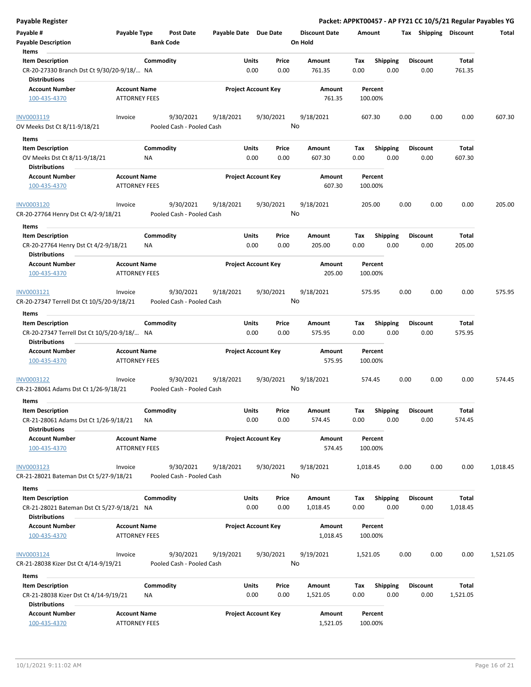| <b>Payable Register</b>                                                                 |                      |                  |                                        |                       |                            |               |                      |             |                         |      |                         |                 | Packet: APPKT00457 - AP FY21 CC 10/5/21 Regular Payables YG |
|-----------------------------------------------------------------------------------------|----------------------|------------------|----------------------------------------|-----------------------|----------------------------|---------------|----------------------|-------------|-------------------------|------|-------------------------|-----------------|-------------------------------------------------------------|
| Payable #                                                                               | Payable Type         |                  | Post Date                              | Payable Date Due Date |                            |               | <b>Discount Date</b> | Amount      |                         |      | Tax Shipping Discount   |                 | Total                                                       |
| <b>Payable Description</b>                                                              |                      | <b>Bank Code</b> |                                        |                       |                            |               | On Hold              |             |                         |      |                         |                 |                                                             |
| Items                                                                                   |                      |                  |                                        |                       |                            |               |                      |             |                         |      |                         |                 |                                                             |
| <b>Item Description</b>                                                                 |                      | Commodity        |                                        |                       | Units                      | Price         | Amount               | Tax         | <b>Shipping</b>         |      | <b>Discount</b>         | Total           |                                                             |
| CR-20-27330 Branch Dst Ct 9/30/20-9/18/ NA                                              |                      |                  |                                        |                       | 0.00                       | 0.00          | 761.35               | 0.00        | 0.00                    |      | 0.00                    | 761.35          |                                                             |
| <b>Distributions</b>                                                                    |                      |                  |                                        |                       |                            |               |                      |             |                         |      |                         |                 |                                                             |
| <b>Account Number</b>                                                                   | <b>Account Name</b>  |                  |                                        |                       | <b>Project Account Key</b> |               | Amount               |             | Percent                 |      |                         |                 |                                                             |
| 100-435-4370                                                                            | <b>ATTORNEY FEES</b> |                  |                                        |                       |                            |               | 761.35               | 100.00%     |                         |      |                         |                 |                                                             |
| INV0003119                                                                              | Invoice              |                  | 9/30/2021                              | 9/18/2021             |                            | 9/30/2021     | 9/18/2021            | 607.30      |                         | 0.00 | 0.00                    | 0.00            | 607.30                                                      |
| OV Meeks Dst Ct 8/11-9/18/21                                                            |                      |                  | Pooled Cash - Pooled Cash              |                       |                            |               | No                   |             |                         |      |                         |                 |                                                             |
| Items                                                                                   |                      |                  |                                        |                       |                            |               |                      |             |                         |      |                         |                 |                                                             |
| <b>Item Description</b>                                                                 |                      | Commodity        |                                        |                       | Units                      | Price         | Amount               | Tax         | <b>Shipping</b>         |      | <b>Discount</b>         | Total           |                                                             |
| OV Meeks Dst Ct 8/11-9/18/21<br><b>Distributions</b>                                    |                      | ΝA               |                                        |                       | 0.00                       | 0.00          | 607.30               | 0.00        | 0.00                    |      | 0.00                    | 607.30          |                                                             |
| <b>Account Number</b>                                                                   | <b>Account Name</b>  |                  |                                        |                       | <b>Project Account Key</b> |               | Amount               |             | Percent                 |      |                         |                 |                                                             |
| 100-435-4370                                                                            | <b>ATTORNEY FEES</b> |                  |                                        |                       |                            |               | 607.30               | 100.00%     |                         |      |                         |                 |                                                             |
| INV0003120                                                                              | Invoice              |                  | 9/30/2021                              | 9/18/2021             |                            | 9/30/2021     | 9/18/2021            | 205.00      |                         | 0.00 | 0.00                    | 0.00            | 205.00                                                      |
| CR-20-27764 Henry Dst Ct 4/2-9/18/21                                                    |                      |                  | Pooled Cash - Pooled Cash              |                       |                            |               | No                   |             |                         |      |                         |                 |                                                             |
| Items                                                                                   |                      |                  |                                        |                       |                            |               |                      |             |                         |      |                         |                 |                                                             |
| <b>Item Description</b><br>CR-20-27764 Henry Dst Ct 4/2-9/18/21<br><b>Distributions</b> |                      | Commodity<br>ΝA  |                                        |                       | Units<br>0.00              | Price<br>0.00 | Amount<br>205.00     | Tax<br>0.00 | <b>Shipping</b><br>0.00 |      | <b>Discount</b><br>0.00 | Total<br>205.00 |                                                             |
| <b>Account Number</b>                                                                   | <b>Account Name</b>  |                  |                                        |                       | <b>Project Account Key</b> |               | Amount               |             | Percent                 |      |                         |                 |                                                             |
| 100-435-4370                                                                            | <b>ATTORNEY FEES</b> |                  |                                        |                       |                            |               | 205.00               | 100.00%     |                         |      |                         |                 |                                                             |
| INV0003121                                                                              | Invoice              |                  | 9/30/2021                              | 9/18/2021             |                            | 9/30/2021     | 9/18/2021            | 575.95      |                         | 0.00 | 0.00                    | 0.00            | 575.95                                                      |
| CR-20-27347 Terrell Dst Ct 10/5/20-9/18/21                                              |                      |                  | Pooled Cash - Pooled Cash              |                       |                            |               | No                   |             |                         |      |                         |                 |                                                             |
|                                                                                         |                      |                  |                                        |                       |                            |               |                      |             |                         |      |                         |                 |                                                             |
| Items                                                                                   |                      |                  |                                        |                       |                            |               |                      |             |                         |      |                         |                 |                                                             |
| <b>Item Description</b><br>CR-20-27347 Terrell Dst Ct 10/5/20-9/18/ NA                  |                      | Commodity        |                                        |                       | Units<br>0.00              | Price<br>0.00 | Amount<br>575.95     | Tax<br>0.00 | <b>Shipping</b><br>0.00 |      | <b>Discount</b><br>0.00 | Total<br>575.95 |                                                             |
| <b>Distributions</b>                                                                    |                      |                  |                                        |                       |                            |               |                      |             |                         |      |                         |                 |                                                             |
| <b>Account Number</b>                                                                   | <b>Account Name</b>  |                  |                                        |                       | <b>Project Account Key</b> |               | Amount               |             | Percent                 |      |                         |                 |                                                             |
| 100-435-4370                                                                            | <b>ATTORNEY FEES</b> |                  |                                        |                       |                            |               | 575.95               | 100.00%     |                         |      |                         |                 |                                                             |
| INV0003122                                                                              | Invoice              |                  | 9/30/2021                              | 9/18/2021             |                            | 9/30/2021     | 9/18/2021            | 574.45      |                         | 0.00 | 0.00                    | 0.00            | 574.45                                                      |
| CR-21-28061 Adams Dst Ct 1/26-9/18/21                                                   |                      |                  | Pooled Cash - Pooled Cash              |                       |                            |               | No                   |             |                         |      |                         |                 |                                                             |
| Items                                                                                   |                      |                  |                                        |                       |                            |               |                      |             |                         |      |                         |                 |                                                             |
| <b>Item Description</b>                                                                 |                      | Commodity        |                                        |                       | Units                      | Price         | Amount               | Tax         | Shipping                |      | <b>Discount</b>         | Total           |                                                             |
| CR-21-28061 Adams Dst Ct 1/26-9/18/21<br><b>Distributions</b>                           |                      | <b>NA</b>        |                                        |                       | 0.00                       | 0.00          | 574.45               | 0.00        | 0.00                    |      | 0.00                    | 574.45          |                                                             |
| <b>Account Number</b>                                                                   | <b>Account Name</b>  |                  |                                        |                       | <b>Project Account Key</b> |               | Amount               |             | Percent                 |      |                         |                 |                                                             |
| 100-435-4370                                                                            | <b>ATTORNEY FEES</b> |                  |                                        |                       |                            |               | 574.45               | 100.00%     |                         |      |                         |                 |                                                             |
| INV0003123                                                                              | Invoice              |                  | 9/30/2021                              | 9/18/2021             |                            | 9/30/2021     | 9/18/2021            | 1,018.45    |                         | 0.00 | 0.00                    | 0.00            | 1,018.45                                                    |
| CR-21-28021 Bateman Dst Ct 5/27-9/18/21                                                 |                      |                  | Pooled Cash - Pooled Cash              |                       |                            |               | No                   |             |                         |      |                         |                 |                                                             |
|                                                                                         |                      |                  |                                        |                       |                            |               |                      |             |                         |      |                         |                 |                                                             |
| Items                                                                                   |                      |                  |                                        |                       |                            |               |                      |             |                         |      |                         |                 |                                                             |
| <b>Item Description</b>                                                                 |                      | Commodity        |                                        |                       | Units                      | Price         | Amount               | Tax         | <b>Shipping</b>         |      | <b>Discount</b>         | Total           |                                                             |
| CR-21-28021 Bateman Dst Ct 5/27-9/18/21 NA<br><b>Distributions</b>                      |                      |                  |                                        |                       | 0.00                       | 0.00          | 1,018.45             | 0.00        | 0.00                    |      | 0.00                    | 1,018.45        |                                                             |
| <b>Account Number</b>                                                                   | <b>Account Name</b>  |                  |                                        |                       | <b>Project Account Key</b> |               | Amount               |             | Percent                 |      |                         |                 |                                                             |
| 100-435-4370                                                                            | <b>ATTORNEY FEES</b> |                  |                                        |                       |                            |               | 1,018.45             | 100.00%     |                         |      |                         |                 |                                                             |
| INV0003124<br>CR-21-28038 Kizer Dst Ct 4/14-9/19/21                                     | Invoice              |                  | 9/30/2021<br>Pooled Cash - Pooled Cash | 9/19/2021             |                            | 9/30/2021     | 9/19/2021<br>No      | 1,521.05    |                         | 0.00 | 0.00                    | 0.00            | 1,521.05                                                    |
| Items                                                                                   |                      |                  |                                        |                       |                            |               |                      |             |                         |      |                         |                 |                                                             |
| <b>Item Description</b>                                                                 |                      | Commodity        |                                        |                       | Units                      | Price         | Amount               | Tax         | <b>Shipping</b>         |      | <b>Discount</b>         | Total           |                                                             |
| CR-21-28038 Kizer Dst Ct 4/14-9/19/21<br><b>Distributions</b>                           |                      | ΝA               |                                        |                       | 0.00                       | 0.00          | 1,521.05             | 0.00        | 0.00                    |      | 0.00                    | 1,521.05        |                                                             |
| <b>Account Number</b>                                                                   | <b>Account Name</b>  |                  |                                        |                       | <b>Project Account Key</b> |               | Amount               |             | Percent                 |      |                         |                 |                                                             |
| 100-435-4370                                                                            | <b>ATTORNEY FEES</b> |                  |                                        |                       |                            |               | 1,521.05             | 100.00%     |                         |      |                         |                 |                                                             |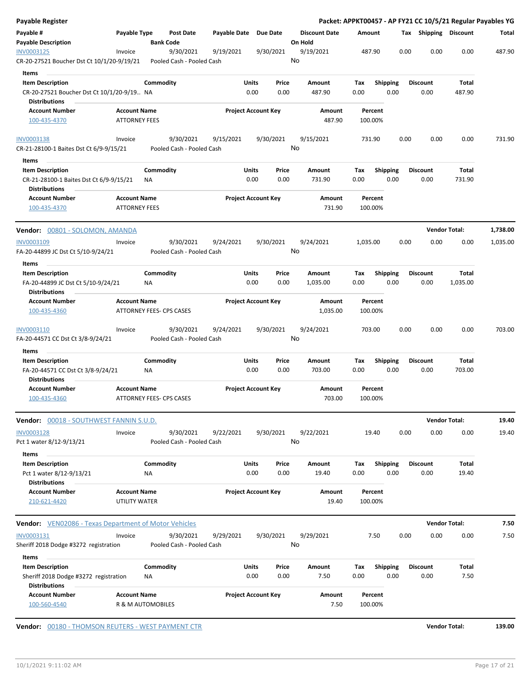|                                       | Post Date                                                                                                                                                                                                                                                                                          |                                                                                                                                                                                                                                                                                                                                                                                                                                                                                                                                             |                                                                                                                                                                                         | <b>Discount Date</b>                                                                                                                                                                                                                                                                          |                                                                                                                                                       |      |                                                                                                                                                                                                                                                                                            |                                                                         | Total                                                                                                                                                                                                                 |
|---------------------------------------|----------------------------------------------------------------------------------------------------------------------------------------------------------------------------------------------------------------------------------------------------------------------------------------------------|---------------------------------------------------------------------------------------------------------------------------------------------------------------------------------------------------------------------------------------------------------------------------------------------------------------------------------------------------------------------------------------------------------------------------------------------------------------------------------------------------------------------------------------------|-----------------------------------------------------------------------------------------------------------------------------------------------------------------------------------------|-----------------------------------------------------------------------------------------------------------------------------------------------------------------------------------------------------------------------------------------------------------------------------------------------|-------------------------------------------------------------------------------------------------------------------------------------------------------|------|--------------------------------------------------------------------------------------------------------------------------------------------------------------------------------------------------------------------------------------------------------------------------------------------|-------------------------------------------------------------------------|-----------------------------------------------------------------------------------------------------------------------------------------------------------------------------------------------------------------------|
|                                       | <b>Bank Code</b>                                                                                                                                                                                                                                                                                   |                                                                                                                                                                                                                                                                                                                                                                                                                                                                                                                                             |                                                                                                                                                                                         | On Hold                                                                                                                                                                                                                                                                                       |                                                                                                                                                       |      |                                                                                                                                                                                                                                                                                            |                                                                         |                                                                                                                                                                                                                       |
|                                       |                                                                                                                                                                                                                                                                                                    |                                                                                                                                                                                                                                                                                                                                                                                                                                                                                                                                             |                                                                                                                                                                                         | No                                                                                                                                                                                                                                                                                            |                                                                                                                                                       |      |                                                                                                                                                                                                                                                                                            |                                                                         | 487.90                                                                                                                                                                                                                |
|                                       |                                                                                                                                                                                                                                                                                                    |                                                                                                                                                                                                                                                                                                                                                                                                                                                                                                                                             |                                                                                                                                                                                         |                                                                                                                                                                                                                                                                                               |                                                                                                                                                       |      |                                                                                                                                                                                                                                                                                            |                                                                         |                                                                                                                                                                                                                       |
|                                       |                                                                                                                                                                                                                                                                                                    |                                                                                                                                                                                                                                                                                                                                                                                                                                                                                                                                             |                                                                                                                                                                                         | Amount<br>487.90                                                                                                                                                                                                                                                                              | Tax<br>0.00                                                                                                                                           | 0.00 | <b>Discount</b><br>0.00                                                                                                                                                                                                                                                                    | Total<br>487.90                                                         |                                                                                                                                                                                                                       |
|                                       |                                                                                                                                                                                                                                                                                                    |                                                                                                                                                                                                                                                                                                                                                                                                                                                                                                                                             |                                                                                                                                                                                         |                                                                                                                                                                                                                                                                                               |                                                                                                                                                       |      |                                                                                                                                                                                                                                                                                            |                                                                         |                                                                                                                                                                                                                       |
|                                       |                                                                                                                                                                                                                                                                                                    |                                                                                                                                                                                                                                                                                                                                                                                                                                                                                                                                             |                                                                                                                                                                                         | 487.90                                                                                                                                                                                                                                                                                        |                                                                                                                                                       |      |                                                                                                                                                                                                                                                                                            |                                                                         |                                                                                                                                                                                                                       |
| Invoice                               | 9/30/2021                                                                                                                                                                                                                                                                                          | 9/15/2021                                                                                                                                                                                                                                                                                                                                                                                                                                                                                                                                   | 9/30/2021                                                                                                                                                                               | 9/15/2021                                                                                                                                                                                                                                                                                     |                                                                                                                                                       |      |                                                                                                                                                                                                                                                                                            | 0.00                                                                    | 731.90                                                                                                                                                                                                                |
|                                       |                                                                                                                                                                                                                                                                                                    |                                                                                                                                                                                                                                                                                                                                                                                                                                                                                                                                             |                                                                                                                                                                                         | No                                                                                                                                                                                                                                                                                            |                                                                                                                                                       |      |                                                                                                                                                                                                                                                                                            |                                                                         |                                                                                                                                                                                                                       |
|                                       |                                                                                                                                                                                                                                                                                                    |                                                                                                                                                                                                                                                                                                                                                                                                                                                                                                                                             |                                                                                                                                                                                         |                                                                                                                                                                                                                                                                                               |                                                                                                                                                       |      |                                                                                                                                                                                                                                                                                            |                                                                         |                                                                                                                                                                                                                       |
|                                       |                                                                                                                                                                                                                                                                                                    |                                                                                                                                                                                                                                                                                                                                                                                                                                                                                                                                             |                                                                                                                                                                                         | Amount<br>731.90                                                                                                                                                                                                                                                                              | Tax<br>0.00                                                                                                                                           | 0.00 | <b>Discount</b><br>0.00                                                                                                                                                                                                                                                                    | Total<br>731.90                                                         |                                                                                                                                                                                                                       |
|                                       |                                                                                                                                                                                                                                                                                                    |                                                                                                                                                                                                                                                                                                                                                                                                                                                                                                                                             |                                                                                                                                                                                         |                                                                                                                                                                                                                                                                                               |                                                                                                                                                       |      |                                                                                                                                                                                                                                                                                            |                                                                         |                                                                                                                                                                                                                       |
|                                       |                                                                                                                                                                                                                                                                                                    |                                                                                                                                                                                                                                                                                                                                                                                                                                                                                                                                             |                                                                                                                                                                                         | 731.90                                                                                                                                                                                                                                                                                        |                                                                                                                                                       |      |                                                                                                                                                                                                                                                                                            |                                                                         |                                                                                                                                                                                                                       |
|                                       |                                                                                                                                                                                                                                                                                                    |                                                                                                                                                                                                                                                                                                                                                                                                                                                                                                                                             |                                                                                                                                                                                         |                                                                                                                                                                                                                                                                                               |                                                                                                                                                       |      |                                                                                                                                                                                                                                                                                            |                                                                         | 1,738.00                                                                                                                                                                                                              |
| Invoice                               | 9/30/2021                                                                                                                                                                                                                                                                                          | 9/24/2021                                                                                                                                                                                                                                                                                                                                                                                                                                                                                                                                   | 9/30/2021                                                                                                                                                                               | 9/24/2021                                                                                                                                                                                                                                                                                     |                                                                                                                                                       |      |                                                                                                                                                                                                                                                                                            | 0.00                                                                    | 1,035.00                                                                                                                                                                                                              |
|                                       |                                                                                                                                                                                                                                                                                                    |                                                                                                                                                                                                                                                                                                                                                                                                                                                                                                                                             |                                                                                                                                                                                         | No                                                                                                                                                                                                                                                                                            |                                                                                                                                                       |      |                                                                                                                                                                                                                                                                                            |                                                                         |                                                                                                                                                                                                                       |
|                                       |                                                                                                                                                                                                                                                                                                    |                                                                                                                                                                                                                                                                                                                                                                                                                                                                                                                                             |                                                                                                                                                                                         |                                                                                                                                                                                                                                                                                               |                                                                                                                                                       |      |                                                                                                                                                                                                                                                                                            |                                                                         |                                                                                                                                                                                                                       |
|                                       |                                                                                                                                                                                                                                                                                                    |                                                                                                                                                                                                                                                                                                                                                                                                                                                                                                                                             |                                                                                                                                                                                         | Amount                                                                                                                                                                                                                                                                                        | Tax                                                                                                                                                   |      | <b>Discount</b>                                                                                                                                                                                                                                                                            | Total                                                                   |                                                                                                                                                                                                                       |
|                                       |                                                                                                                                                                                                                                                                                                    |                                                                                                                                                                                                                                                                                                                                                                                                                                                                                                                                             |                                                                                                                                                                                         | 1,035.00                                                                                                                                                                                                                                                                                      | 0.00                                                                                                                                                  | 0.00 | 0.00                                                                                                                                                                                                                                                                                       | 1,035.00                                                                |                                                                                                                                                                                                                       |
|                                       |                                                                                                                                                                                                                                                                                                    |                                                                                                                                                                                                                                                                                                                                                                                                                                                                                                                                             |                                                                                                                                                                                         | Amount<br>1,035.00                                                                                                                                                                                                                                                                            |                                                                                                                                                       |      |                                                                                                                                                                                                                                                                                            |                                                                         |                                                                                                                                                                                                                       |
| Invoice                               | 9/30/2021                                                                                                                                                                                                                                                                                          | 9/24/2021                                                                                                                                                                                                                                                                                                                                                                                                                                                                                                                                   | 9/30/2021                                                                                                                                                                               | 9/24/2021<br>No                                                                                                                                                                                                                                                                               |                                                                                                                                                       |      |                                                                                                                                                                                                                                                                                            | 0.00                                                                    | 703.00                                                                                                                                                                                                                |
|                                       |                                                                                                                                                                                                                                                                                                    |                                                                                                                                                                                                                                                                                                                                                                                                                                                                                                                                             |                                                                                                                                                                                         |                                                                                                                                                                                                                                                                                               |                                                                                                                                                       |      |                                                                                                                                                                                                                                                                                            |                                                                         |                                                                                                                                                                                                                       |
|                                       |                                                                                                                                                                                                                                                                                                    |                                                                                                                                                                                                                                                                                                                                                                                                                                                                                                                                             |                                                                                                                                                                                         | Amount<br>703.00                                                                                                                                                                                                                                                                              | Тах<br>0.00                                                                                                                                           | 0.00 | <b>Discount</b><br>0.00                                                                                                                                                                                                                                                                    | Total<br>703.00                                                         |                                                                                                                                                                                                                       |
|                                       |                                                                                                                                                                                                                                                                                                    |                                                                                                                                                                                                                                                                                                                                                                                                                                                                                                                                             |                                                                                                                                                                                         |                                                                                                                                                                                                                                                                                               |                                                                                                                                                       |      |                                                                                                                                                                                                                                                                                            |                                                                         |                                                                                                                                                                                                                       |
|                                       |                                                                                                                                                                                                                                                                                                    |                                                                                                                                                                                                                                                                                                                                                                                                                                                                                                                                             |                                                                                                                                                                                         | 703.00                                                                                                                                                                                                                                                                                        |                                                                                                                                                       |      |                                                                                                                                                                                                                                                                                            |                                                                         |                                                                                                                                                                                                                       |
|                                       |                                                                                                                                                                                                                                                                                                    |                                                                                                                                                                                                                                                                                                                                                                                                                                                                                                                                             |                                                                                                                                                                                         |                                                                                                                                                                                                                                                                                               |                                                                                                                                                       |      |                                                                                                                                                                                                                                                                                            |                                                                         | 19.40                                                                                                                                                                                                                 |
| Invoice                               | 9/30/2021                                                                                                                                                                                                                                                                                          | 9/22/2021                                                                                                                                                                                                                                                                                                                                                                                                                                                                                                                                   | 9/30/2021                                                                                                                                                                               | 9/22/2021                                                                                                                                                                                                                                                                                     |                                                                                                                                                       |      |                                                                                                                                                                                                                                                                                            | 0.00                                                                    | 19.40                                                                                                                                                                                                                 |
|                                       |                                                                                                                                                                                                                                                                                                    |                                                                                                                                                                                                                                                                                                                                                                                                                                                                                                                                             |                                                                                                                                                                                         |                                                                                                                                                                                                                                                                                               |                                                                                                                                                       |      |                                                                                                                                                                                                                                                                                            |                                                                         |                                                                                                                                                                                                                       |
|                                       |                                                                                                                                                                                                                                                                                                    |                                                                                                                                                                                                                                                                                                                                                                                                                                                                                                                                             |                                                                                                                                                                                         | 19.40                                                                                                                                                                                                                                                                                         | 0.00                                                                                                                                                  | 0.00 | 0.00                                                                                                                                                                                                                                                                                       | 19.40                                                                   |                                                                                                                                                                                                                       |
|                                       |                                                                                                                                                                                                                                                                                                    |                                                                                                                                                                                                                                                                                                                                                                                                                                                                                                                                             |                                                                                                                                                                                         | Amount                                                                                                                                                                                                                                                                                        |                                                                                                                                                       |      |                                                                                                                                                                                                                                                                                            |                                                                         |                                                                                                                                                                                                                       |
|                                       |                                                                                                                                                                                                                                                                                                    |                                                                                                                                                                                                                                                                                                                                                                                                                                                                                                                                             |                                                                                                                                                                                         | 19.40                                                                                                                                                                                                                                                                                         |                                                                                                                                                       |      |                                                                                                                                                                                                                                                                                            |                                                                         |                                                                                                                                                                                                                       |
|                                       |                                                                                                                                                                                                                                                                                                    |                                                                                                                                                                                                                                                                                                                                                                                                                                                                                                                                             |                                                                                                                                                                                         |                                                                                                                                                                                                                                                                                               |                                                                                                                                                       |      |                                                                                                                                                                                                                                                                                            |                                                                         | 7.50                                                                                                                                                                                                                  |
| Invoice                               | 9/30/2021                                                                                                                                                                                                                                                                                          | 9/29/2021                                                                                                                                                                                                                                                                                                                                                                                                                                                                                                                                   | 9/30/2021                                                                                                                                                                               | 9/29/2021<br>No                                                                                                                                                                                                                                                                               |                                                                                                                                                       |      |                                                                                                                                                                                                                                                                                            | 0.00                                                                    | 7.50                                                                                                                                                                                                                  |
|                                       |                                                                                                                                                                                                                                                                                                    |                                                                                                                                                                                                                                                                                                                                                                                                                                                                                                                                             |                                                                                                                                                                                         |                                                                                                                                                                                                                                                                                               |                                                                                                                                                       |      |                                                                                                                                                                                                                                                                                            |                                                                         |                                                                                                                                                                                                                       |
|                                       |                                                                                                                                                                                                                                                                                                    |                                                                                                                                                                                                                                                                                                                                                                                                                                                                                                                                             |                                                                                                                                                                                         | Amount                                                                                                                                                                                                                                                                                        | Tax                                                                                                                                                   |      | <b>Discount</b>                                                                                                                                                                                                                                                                            | Total                                                                   |                                                                                                                                                                                                                       |
|                                       |                                                                                                                                                                                                                                                                                                    |                                                                                                                                                                                                                                                                                                                                                                                                                                                                                                                                             |                                                                                                                                                                                         | 7.50                                                                                                                                                                                                                                                                                          | 0.00                                                                                                                                                  | 0.00 | 0.00                                                                                                                                                                                                                                                                                       | 7.50                                                                    |                                                                                                                                                                                                                       |
| Sheriff 2018 Dodge #3272 registration | ΝA                                                                                                                                                                                                                                                                                                 | 0.00                                                                                                                                                                                                                                                                                                                                                                                                                                                                                                                                        | 0.00                                                                                                                                                                                    |                                                                                                                                                                                                                                                                                               |                                                                                                                                                       |      |                                                                                                                                                                                                                                                                                            |                                                                         |                                                                                                                                                                                                                       |
| FA-20-44899 JC Dst Ct 5/10-9/24/21    | Invoice<br>CR-20-27521 Boucher Dst Ct 10/1/20-9/19/21<br>CR-21-28100-1 Baites Dst Ct 6/9-9/15/21<br>CR-21-28100-1 Baites Dst Ct 6/9-9/15/21<br>Vendor: 00801 - SOLOMON, AMANDA<br>FA-20-44899 JC Dst Ct 5/10-9/24/21<br>FA-20-44571 CC Dst Ct 3/8-9/24/21<br>Sheriff 2018 Dodge #3272 registration | Payable Type<br>9/30/2021<br>Commodity<br>CR-20-27521 Boucher Dst Ct 10/1/20-9/19 NA<br><b>Account Name</b><br><b>ATTORNEY FEES</b><br>Commodity<br>ΝA<br><b>Account Name</b><br><b>ATTORNEY FEES</b><br>Commodity<br><b>NA</b><br><b>Account Name</b><br>ATTORNEY FEES- CPS CASES<br>Commodity<br>ΝA<br><b>Account Name</b><br>ATTORNEY FEES- CPS CASES<br>Vendor: 00018 - SOUTHWEST FANNIN S.U.D.<br>Commodity<br>ΝA<br><b>Account Name</b><br>UTILITY WATER<br><b>Vendor:</b> VEN02086 - Texas Department of Motor Vehicles<br>Commodity | 9/19/2021<br>Pooled Cash - Pooled Cash<br>Pooled Cash - Pooled Cash<br>Pooled Cash - Pooled Cash<br>Pooled Cash - Pooled Cash<br>Pooled Cash - Pooled Cash<br>Pooled Cash - Pooled Cash | Payable Date Due Date<br>9/30/2021<br>Units<br>0.00<br><b>Project Account Key</b><br><b>Units</b><br>0.00<br><b>Project Account Key</b><br>Units<br>0.00<br><b>Project Account Key</b><br>Units<br>0.00<br><b>Project Account Key</b><br>Units<br>0.00<br><b>Project Account Key</b><br>Units | 9/19/2021<br>Price<br>0.00<br>Amount<br>Price<br>0.00<br>Amount<br>Price<br>0.00<br>Price<br>0.00<br>Amount<br>No<br>Price<br>Amount<br>0.00<br>Price | Tax  | Amount<br>487.90<br><b>Shipping</b><br>Percent<br>100.00%<br>731.90<br><b>Shipping</b><br>Percent<br>100.00%<br>1,035.00<br><b>Shipping</b><br>Percent<br>100.00%<br>703.00<br><b>Shipping</b><br>Percent<br>100.00%<br>19.40<br>Shipping<br>Percent<br>100.00%<br>7.50<br><b>Shipping</b> | 0.00<br>0.00<br>0.00<br>0.00<br>0.00<br>0.00<br><b>Discount</b><br>0.00 | Packet: APPKT00457 - AP FY21 CC 10/5/21 Regular Payables YG<br>Tax Shipping Discount<br>0.00<br>0.00<br>0.00<br><b>Vendor Total:</b><br>0.00<br>0.00<br><b>Vendor Total:</b><br>Total<br><b>Vendor Total:</b><br>0.00 |

**Vendor:**  $\underline{00180}$  - THOMSON REUTERS - WEST PAYMENT CTR<br> **139.00**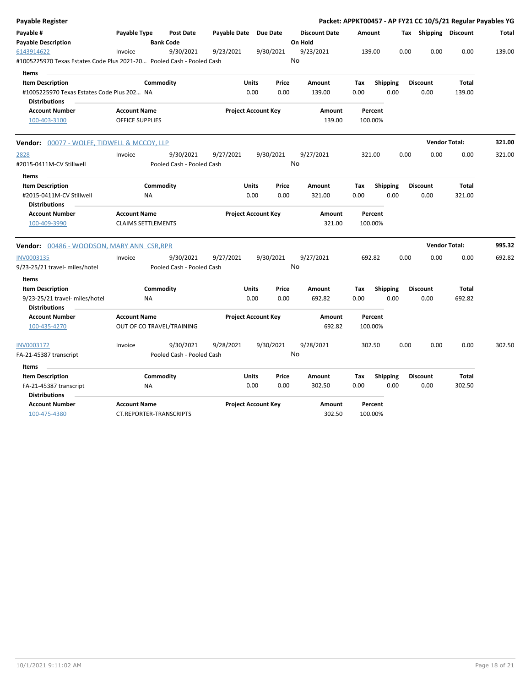| <b>Payable Register</b>                                                             |                           |                                      |              |                            |       |                                 |         |                 | Packet: APPKT00457 - AP FY21 CC 10/5/21 Regular Payables YG |                      |        |
|-------------------------------------------------------------------------------------|---------------------------|--------------------------------------|--------------|----------------------------|-------|---------------------------------|---------|-----------------|-------------------------------------------------------------|----------------------|--------|
| Payable #<br><b>Payable Description</b>                                             | Payable Type              | <b>Post Date</b><br><b>Bank Code</b> | Payable Date | <b>Due Date</b>            |       | <b>Discount Date</b><br>On Hold | Amount  |                 | Tax Shipping Discount                                       |                      | Total  |
| 6143914622<br>#1005225970 Texas Estates Code Plus 2021-20 Pooled Cash - Pooled Cash | Invoice                   | 9/30/2021                            | 9/23/2021    | 9/30/2021                  |       | 9/23/2021<br>No                 | 139.00  |                 | 0.00<br>0.00                                                | 0.00                 | 139.00 |
| <b>Items</b>                                                                        |                           |                                      |              |                            |       |                                 |         |                 |                                                             |                      |        |
| <b>Item Description</b>                                                             | Commodity                 |                                      |              | <b>Units</b>               | Price | Amount                          | Tax     | <b>Shipping</b> | <b>Discount</b>                                             | Total                |        |
| #1005225970 Texas Estates Code Plus 202 NA                                          |                           |                                      |              | 0.00                       | 0.00  | 139.00                          | 0.00    | 0.00            | 0.00                                                        | 139.00               |        |
| <b>Distributions</b>                                                                |                           |                                      |              |                            |       |                                 |         |                 |                                                             |                      |        |
| <b>Account Number</b>                                                               | <b>Account Name</b>       |                                      |              | <b>Project Account Key</b> |       | Amount                          |         | Percent         |                                                             |                      |        |
| 100-403-3100                                                                        | <b>OFFICE SUPPLIES</b>    |                                      |              |                            |       | 139.00                          | 100.00% |                 |                                                             |                      |        |
| <b>Vendor: 00077 - WOLFE, TIDWELL &amp; MCCOY, LLP</b>                              |                           |                                      |              |                            |       |                                 |         |                 |                                                             | <b>Vendor Total:</b> | 321.00 |
| 2828                                                                                | Invoice                   | 9/30/2021                            | 9/27/2021    | 9/30/2021                  |       | 9/27/2021                       | 321.00  |                 | 0.00<br>0.00                                                | 0.00                 | 321.00 |
| #2015-0411M-CV Stillwell                                                            |                           | Pooled Cash - Pooled Cash            |              |                            |       | No                              |         |                 |                                                             |                      |        |
| Items                                                                               |                           |                                      |              |                            |       |                                 |         |                 |                                                             |                      |        |
| <b>Item Description</b>                                                             | Commodity                 |                                      |              | Units                      | Price | Amount                          | Tax     | Shipping        | <b>Discount</b>                                             | <b>Total</b>         |        |
| #2015-0411M-CV Stillwell                                                            | NA                        |                                      |              | 0.00                       | 0.00  | 321.00                          | 0.00    | 0.00            | 0.00                                                        | 321.00               |        |
| <b>Distributions</b>                                                                |                           |                                      |              |                            |       |                                 |         |                 |                                                             |                      |        |
| <b>Account Number</b>                                                               | <b>Account Name</b>       |                                      |              | <b>Project Account Key</b> |       | Amount                          |         | Percent         |                                                             |                      |        |
| 100-409-3990                                                                        | <b>CLAIMS SETTLEMENTS</b> |                                      |              |                            |       | 321.00                          | 100.00% |                 |                                                             |                      |        |
| <b>Vendor:</b> 00486 - WOODSON, MARY ANN CSR, RPR                                   |                           |                                      |              |                            |       |                                 |         |                 |                                                             | <b>Vendor Total:</b> | 995.32 |
| INV0003135                                                                          | Invoice                   | 9/30/2021                            | 9/27/2021    | 9/30/2021                  |       | 9/27/2021                       | 692.82  |                 | 0.00<br>0.00                                                | 0.00                 | 692.82 |
| 9/23-25/21 travel- miles/hotel                                                      |                           | Pooled Cash - Pooled Cash            |              |                            |       | No                              |         |                 |                                                             |                      |        |
| Items                                                                               |                           |                                      |              |                            |       |                                 |         |                 |                                                             |                      |        |
| <b>Item Description</b>                                                             | Commodity                 |                                      |              | Units                      | Price | Amount                          | Tax     | Shipping        | <b>Discount</b>                                             | Total                |        |
| 9/23-25/21 travel- miles/hotel<br><b>Distributions</b>                              | <b>NA</b>                 |                                      |              | 0.00                       | 0.00  | 692.82                          | 0.00    | 0.00            | 0.00                                                        | 692.82               |        |
| <b>Account Number</b>                                                               | <b>Account Name</b>       |                                      |              | <b>Project Account Key</b> |       | <b>Amount</b>                   |         | Percent         |                                                             |                      |        |
| 100-435-4270                                                                        | OUT OF CO TRAVEL/TRAINING |                                      |              |                            |       | 692.82                          | 100.00% |                 |                                                             |                      |        |
| INV0003172                                                                          | Invoice                   | 9/30/2021                            | 9/28/2021    | 9/30/2021                  |       | 9/28/2021                       | 302.50  |                 | 0.00<br>0.00                                                | 0.00                 | 302.50 |
| FA-21-45387 transcript                                                              |                           | Pooled Cash - Pooled Cash            |              |                            |       | No                              |         |                 |                                                             |                      |        |
| Items                                                                               |                           |                                      |              |                            |       |                                 |         |                 |                                                             |                      |        |
| <b>Item Description</b>                                                             | Commodity                 |                                      |              | <b>Units</b>               | Price | Amount                          | Tax     | <b>Shipping</b> | <b>Discount</b>                                             | Total                |        |
| FA-21-45387 transcript                                                              | NA                        |                                      |              | 0.00                       | 0.00  | 302.50                          | 0.00    | 0.00            | 0.00                                                        | 302.50               |        |
| <b>Distributions</b>                                                                |                           |                                      |              |                            |       |                                 |         |                 |                                                             |                      |        |
| <b>Account Number</b>                                                               | <b>Account Name</b>       |                                      |              | <b>Project Account Key</b> |       | Amount                          |         | Percent         |                                                             |                      |        |
| 100-475-4380                                                                        | CT.REPORTER-TRANSCRIPTS   |                                      |              |                            |       | 302.50                          | 100.00% |                 |                                                             |                      |        |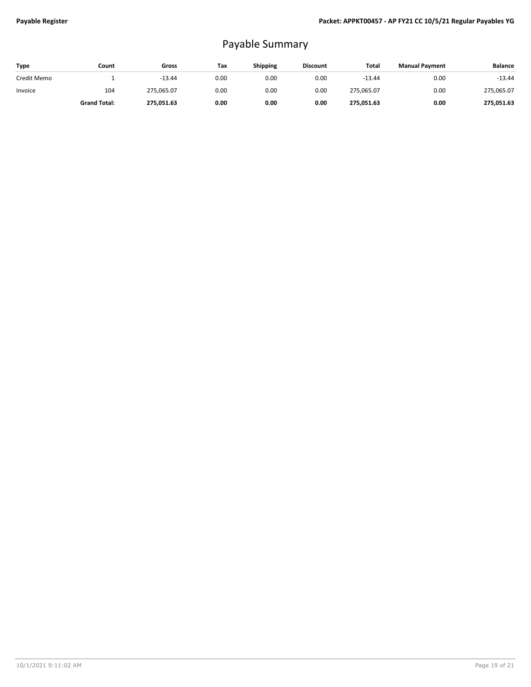## Payable Summary

| Type        | Count               | Gross      | Тах  | <b>Shipping</b> | <b>Discount</b> | Total      | <b>Manual Payment</b> | <b>Balance</b> |
|-------------|---------------------|------------|------|-----------------|-----------------|------------|-----------------------|----------------|
| Credit Memo |                     | $-13.44$   | 0.00 | 0.00            | 0.00            | $-13.44$   | 0.00                  | $-13.44$       |
| Invoice     | 104                 | 275,065.07 | 0.00 | 0.00            | 0.00            | 275,065.07 | 0.00                  | 275,065.07     |
|             | <b>Grand Total:</b> | 275,051.63 | 0.00 | 0.00            | 0.00            | 275,051.63 | 0.00                  | 275,051.63     |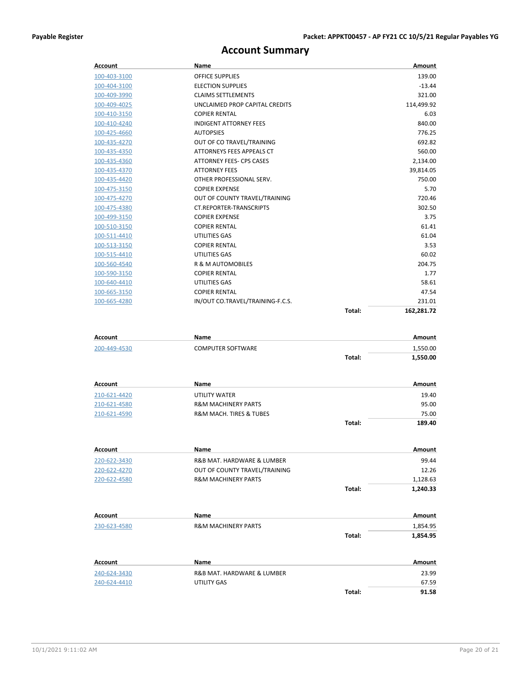**Total: 189.40**

## **Account Summary**

| Account        | Name                             |        | Amount     |
|----------------|----------------------------------|--------|------------|
| 100-403-3100   | <b>OFFICE SUPPLIES</b>           |        | 139.00     |
| 100-404-3100   | <b>ELECTION SUPPLIES</b>         |        | $-13.44$   |
| 100-409-3990   | <b>CLAIMS SETTLEMENTS</b>        |        | 321.00     |
| 100-409-4025   | UNCLAIMED PROP CAPITAL CREDITS   |        | 114,499.92 |
| 100-410-3150   | <b>COPIER RENTAL</b>             |        | 6.03       |
| 100-410-4240   | <b>INDIGENT ATTORNEY FEES</b>    |        | 840.00     |
| 100-425-4660   | <b>AUTOPSIES</b>                 |        | 776.25     |
| 100-435-4270   | OUT OF CO TRAVEL/TRAINING        |        | 692.82     |
| 100-435-4350   | ATTORNEYS FEES APPEALS CT        |        | 560.00     |
| 100-435-4360   | ATTORNEY FEES- CPS CASES         |        | 2,134.00   |
| 100-435-4370   | <b>ATTORNEY FEES</b>             |        | 39,814.05  |
| 100-435-4420   | OTHER PROFESSIONAL SERV.         |        | 750.00     |
| 100-475-3150   | <b>COPIER EXPENSE</b>            |        | 5.70       |
| 100-475-4270   | OUT OF COUNTY TRAVEL/TRAINING    |        | 720.46     |
| 100-475-4380   | <b>CT.REPORTER-TRANSCRIPTS</b>   |        | 302.50     |
| 100-499-3150   | <b>COPIER EXPENSE</b>            |        | 3.75       |
| 100-510-3150   | <b>COPIER RENTAL</b>             |        | 61.41      |
| 100-511-4410   | UTILITIES GAS                    |        | 61.04      |
| 100-513-3150   | <b>COPIER RENTAL</b>             |        | 3.53       |
| 100-515-4410   | UTILITIES GAS                    |        | 60.02      |
| 100-560-4540   | <b>R &amp; M AUTOMOBILES</b>     |        | 204.75     |
| 100-590-3150   | <b>COPIER RENTAL</b>             |        | 1.77       |
| 100-640-4410   | UTILITIES GAS                    |        | 58.61      |
| 100-665-3150   | <b>COPIER RENTAL</b>             |        | 47.54      |
| 100-665-4280   | IN/OUT CO.TRAVEL/TRAINING-F.C.S. |        | 231.01     |
|                |                                  | Total: | 162,281.72 |
| Account        | Name                             |        | Amount     |
| 200, 440, 4520 | COMPLITED COETWARE               |        | 1 EEN NO   |

| 200-449-4530 | <b>COMPUTER SOFTWARE</b>               |        | 1,550.00 |
|--------------|----------------------------------------|--------|----------|
|              |                                        | Total: | 1,550.00 |
| Account      | Name                                   |        | Amount   |
| 210-621-4420 | UTILITY WATER                          |        | 19.40    |
| 210-621-4580 | <b>R&amp;M MACHINERY PARTS</b>         |        | 95.00    |
| 210-621-4590 | <b>R&amp;M MACH. TIRES &amp; TUBES</b> |        | 75.00    |

| Account        | <b>Name</b>                    |        | Amount   |
|----------------|--------------------------------|--------|----------|
| 220-622-3430   | R&B MAT. HARDWARE & LUMBER     |        | 99.44    |
| 220-622-4270   | OUT OF COUNTY TRAVEL/TRAINING  |        | 12.26    |
| 220-622-4580   | <b>R&amp;M MACHINERY PARTS</b> |        | 1,128.63 |
|                |                                | Total: | 1,240.33 |
| Account        | <b>Name</b>                    |        | Amount   |
| 230-623-4580   | <b>R&amp;M MACHINERY PARTS</b> |        | 1,854.95 |
|                |                                | Total: | 1,854.95 |
| <b>Account</b> | <b>Name</b>                    |        | Amount   |
| 240-624-3430   | R&B MAT, HARDWARE & LUMBER     |        | 23.99    |
| 240-624-4410   | <b>UTILITY GAS</b>             |        | 67.59    |
|                |                                | Total: | 91.58    |